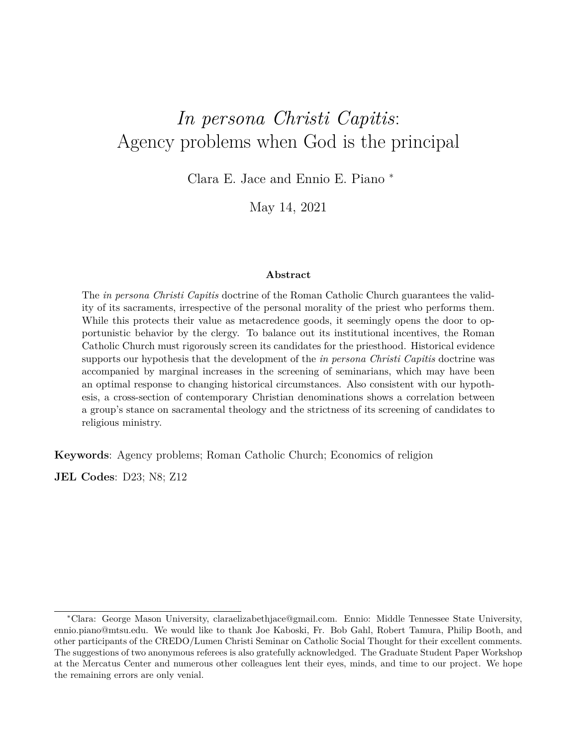# *In persona Christi Capitis*: Agency problems when God is the principal

Clara E. Jace and Ennio E. Piano <sup>∗</sup>

May 14, 2021

#### **Abstract**

The *in persona Christi Capitis* doctrine of the Roman Catholic Church guarantees the validity of its sacraments, irrespective of the personal morality of the priest who performs them. While this protects their value as metacredence goods, it seemingly opens the door to opportunistic behavior by the clergy. To balance out its institutional incentives, the Roman Catholic Church must rigorously screen its candidates for the priesthood. Historical evidence supports our hypothesis that the development of the *in persona Christi Capitis* doctrine was accompanied by marginal increases in the screening of seminarians, which may have been an optimal response to changing historical circumstances. Also consistent with our hypothesis, a cross-section of contemporary Christian denominations shows a correlation between a group's stance on sacramental theology and the strictness of its screening of candidates to religious ministry.

**Keywords**: Agency problems; Roman Catholic Church; Economics of religion

**JEL Codes**: D23; N8; Z12

<sup>∗</sup>Clara: George Mason University, claraelizabethjace@gmail.com. Ennio: Middle Tennessee State University, ennio.piano@mtsu.edu. We would like to thank Joe Kaboski, Fr. Bob Gahl, Robert Tamura, Philip Booth, and other participants of the CREDO/Lumen Christi Seminar on Catholic Social Thought for their excellent comments. The suggestions of two anonymous referees is also gratefully acknowledged. The Graduate Student Paper Workshop at the Mercatus Center and numerous other colleagues lent their eyes, minds, and time to our project. We hope the remaining errors are only venial.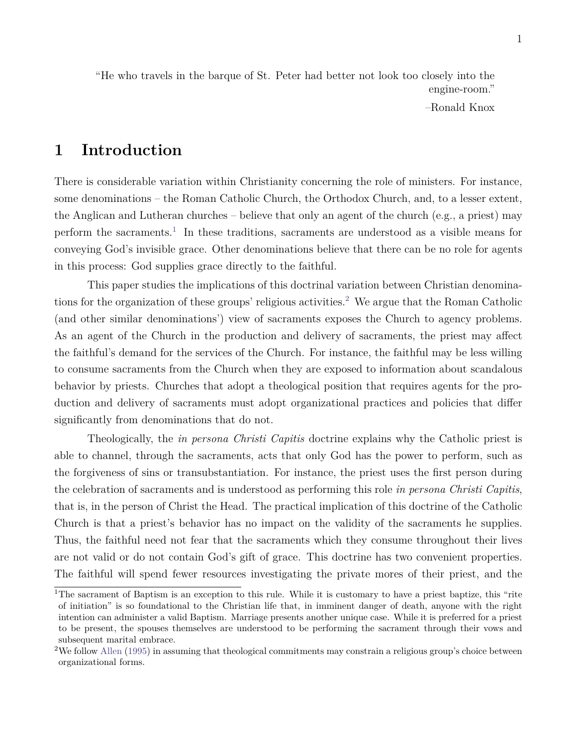"He who travels in the barque of St. Peter had better not look too closely into the engine-room."

–Ronald Knox

### **1 Introduction**

There is considerable variation within Christianity concerning the role of ministers. For instance, some denominations – the Roman Catholic Church, the Orthodox Church, and, to a lesser extent, the Anglican and Lutheran churches – believe that only an agent of the church (e.g., a priest) may perform the sacraments.<sup>[1](#page-1-0)</sup> In these traditions, sacraments are understood as a visible means for conveying God's invisible grace. Other denominations believe that there can be no role for agents in this process: God supplies grace directly to the faithful.

This paper studies the implications of this doctrinal variation between Christian denomina-tions for the organization of these groups' religious activities.<sup>[2](#page-1-1)</sup> We argue that the Roman Catholic (and other similar denominations') view of sacraments exposes the Church to agency problems. As an agent of the Church in the production and delivery of sacraments, the priest may affect the faithful's demand for the services of the Church. For instance, the faithful may be less willing to consume sacraments from the Church when they are exposed to information about scandalous behavior by priests. Churches that adopt a theological position that requires agents for the production and delivery of sacraments must adopt organizational practices and policies that differ significantly from denominations that do not.

Theologically, the *in persona Christi Capitis* doctrine explains why the Catholic priest is able to channel, through the sacraments, acts that only God has the power to perform, such as the forgiveness of sins or transubstantiation. For instance, the priest uses the first person during the celebration of sacraments and is understood as performing this role *in persona Christi Capitis*, that is, in the person of Christ the Head. The practical implication of this doctrine of the Catholic Church is that a priest's behavior has no impact on the validity of the sacraments he supplies. Thus, the faithful need not fear that the sacraments which they consume throughout their lives are not valid or do not contain God's gift of grace. This doctrine has two convenient properties. The faithful will spend fewer resources investigating the private mores of their priest, and the

<span id="page-1-0"></span><sup>&</sup>lt;sup>1</sup>The sacrament of Baptism is an exception to this rule. While it is customary to have a priest baptize, this "rite" of initiation" is so foundational to the Christian life that, in imminent danger of death, anyone with the right intention can administer a valid Baptism. Marriage presents another unique case. While it is preferred for a priest to be present, the spouses themselves are understood to be performing the sacrament through their vows and subsequent marital embrace.

<span id="page-1-1"></span><sup>&</sup>lt;sup>2</sup>We follow [Allen](#page-26-0) [\(1995\)](#page-26-0) in assuming that theological commitments may constrain a religious group's choice between organizational forms.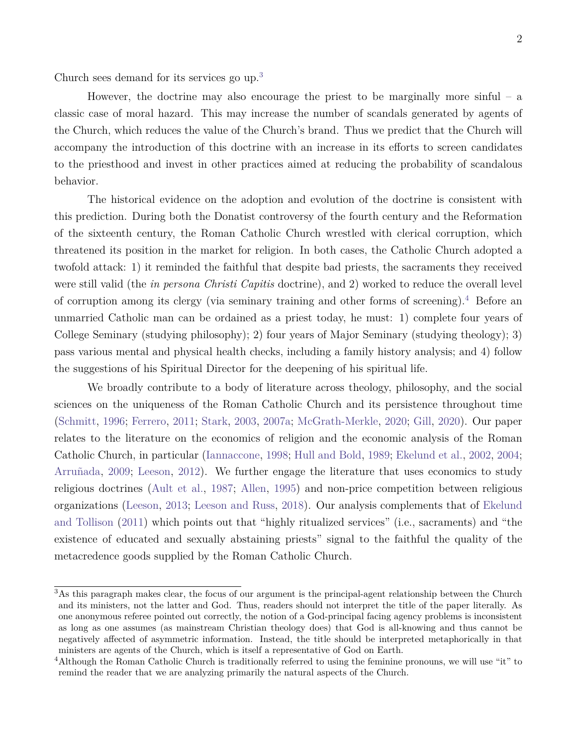Church sees demand for its services go up.<sup>[3](#page-2-0)</sup>

However, the doctrine may also encourage the priest to be marginally more sinful – a classic case of moral hazard. This may increase the number of scandals generated by agents of the Church, which reduces the value of the Church's brand. Thus we predict that the Church will accompany the introduction of this doctrine with an increase in its efforts to screen candidates to the priesthood and invest in other practices aimed at reducing the probability of scandalous behavior.

The historical evidence on the adoption and evolution of the doctrine is consistent with this prediction. During both the Donatist controversy of the fourth century and the Reformation of the sixteenth century, the Roman Catholic Church wrestled with clerical corruption, which threatened its position in the market for religion. In both cases, the Catholic Church adopted a twofold attack: 1) it reminded the faithful that despite bad priests, the sacraments they received were still valid (the *in persona Christi Capitis* doctrine), and 2) worked to reduce the overall level of corruption among its clergy (via seminary training and other forms of screening).[4](#page-2-1) Before an unmarried Catholic man can be ordained as a priest today, he must: 1) complete four years of College Seminary (studying philosophy); 2) four years of Major Seminary (studying theology); 3) pass various mental and physical health checks, including a family history analysis; and 4) follow the suggestions of his Spiritual Director for the deepening of his spiritual life.

We broadly contribute to a body of literature across theology, philosophy, and the social sciences on the uniqueness of the Roman Catholic Church and its persistence throughout time [\(Schmitt,](#page-29-0) [1996;](#page-29-0) [Ferrero,](#page-27-0) [2011;](#page-27-0) [Stark,](#page-29-1) [2003,](#page-29-1) [2007a;](#page-29-2) [McGrath-Merkle,](#page-28-0) [2020;](#page-28-0) [Gill,](#page-27-1) [2020\)](#page-27-1). Our paper relates to the literature on the economics of religion and the economic analysis of the Roman Catholic Church, in particular [\(Iannaccone,](#page-28-1) [1998;](#page-28-1) [Hull and Bold,](#page-28-2) [1989;](#page-28-2) [Ekelund et al.,](#page-26-1) [2002,](#page-26-1) [2004;](#page-27-2) [Arruñada,](#page-26-2) [2009;](#page-26-2) [Leeson,](#page-28-3) [2012\)](#page-28-3). We further engage the literature that uses economics to study religious doctrines [\(Ault et al.,](#page-26-3) [1987;](#page-26-3) [Allen,](#page-26-0) [1995\)](#page-26-0) and non-price competition between religious organizations [\(Leeson,](#page-28-4) [2013;](#page-28-4) [Leeson and Russ,](#page-28-5) [2018\)](#page-28-5). Our analysis complements that of [Ekelund](#page-27-3) [and Tollison](#page-27-3) [\(2011\)](#page-27-3) which points out that "highly ritualized services" (i.e., sacraments) and "the existence of educated and sexually abstaining priests" signal to the faithful the quality of the metacredence goods supplied by the Roman Catholic Church.

<span id="page-2-0"></span><sup>3</sup>As this paragraph makes clear, the focus of our argument is the principal-agent relationship between the Church and its ministers, not the latter and God. Thus, readers should not interpret the title of the paper literally. As one anonymous referee pointed out correctly, the notion of a God-principal facing agency problems is inconsistent as long as one assumes (as mainstream Christian theology does) that God is all-knowing and thus cannot be negatively affected of asymmetric information. Instead, the title should be interpreted metaphorically in that ministers are agents of the Church, which is itself a representative of God on Earth.

<span id="page-2-1"></span><sup>&</sup>lt;sup>4</sup>Although the Roman Catholic Church is traditionally referred to using the feminine pronouns, we will use "it" to remind the reader that we are analyzing primarily the natural aspects of the Church.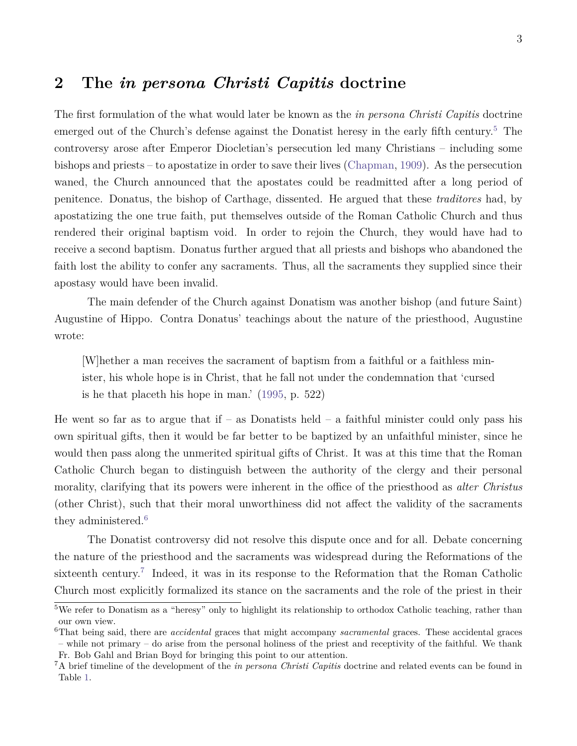### **2 The** *in persona Christi Capitis* **doctrine**

The first formulation of the what would later be known as the *in persona Christi Capitis* doctrine emerged out of the Church's defense against the Donatist heresy in the early fifth century.<sup>[5](#page-3-0)</sup> The controversy arose after Emperor Diocletian's persecution led many Christians – including some bishops and priests – to apostatize in order to save their lives [\(Chapman,](#page-26-4) [1909\)](#page-26-4). As the persecution waned, the Church announced that the apostates could be readmitted after a long period of penitence. Donatus, the bishop of Carthage, dissented. He argued that these *traditores* had, by apostatizing the one true faith, put themselves outside of the Roman Catholic Church and thus rendered their original baptism void. In order to rejoin the Church, they would have had to receive a second baptism. Donatus further argued that all priests and bishops who abandoned the faith lost the ability to confer any sacraments. Thus, all the sacraments they supplied since their apostasy would have been invalid.

The main defender of the Church against Donatism was another bishop (and future Saint) Augustine of Hippo. Contra Donatus' teachings about the nature of the priesthood, Augustine wrote:

[W]hether a man receives the sacrament of baptism from a faithful or a faithless minister, his whole hope is in Christ, that he fall not under the condemnation that 'cursed is he that placeth his hope in man.' [\(1995,](#page-28-6) p. 522)

He went so far as to argue that if – as Donatists held – a faithful minister could only pass his own spiritual gifts, then it would be far better to be baptized by an unfaithful minister, since he would then pass along the unmerited spiritual gifts of Christ. It was at this time that the Roman Catholic Church began to distinguish between the authority of the clergy and their personal morality, clarifying that its powers were inherent in the office of the priesthood as *alter Christus* (other Christ), such that their moral unworthiness did not affect the validity of the sacraments they administered.<sup>[6](#page-3-1)</sup>

The Donatist controversy did not resolve this dispute once and for all. Debate concerning the nature of the priesthood and the sacraments was widespread during the Reformations of the sixteenth century.<sup>[7](#page-3-2)</sup> Indeed, it was in its response to the Reformation that the Roman Catholic Church most explicitly formalized its stance on the sacraments and the role of the priest in their

<span id="page-3-0"></span><sup>&</sup>lt;sup>5</sup>We refer to Donatism as a "heresy" only to highlight its relationship to orthodox Catholic teaching, rather than our own view.

<span id="page-3-1"></span><sup>6</sup>That being said, there are *accidental* graces that might accompany *sacramental* graces. These accidental graces – while not primary – do arise from the personal holiness of the priest and receptivity of the faithful. We thank Fr. Bob Gahl and Brian Boyd for bringing this point to our attention.

<span id="page-3-2"></span><sup>7</sup>A brief timeline of the development of the *in persona Christi Capitis* doctrine and related events can be found in Table [1.](#page-24-0)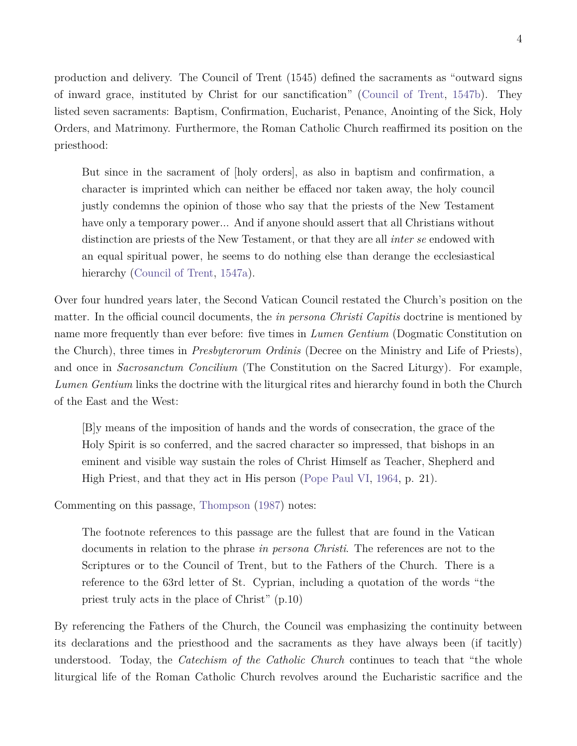production and delivery. The Council of Trent (1545) defined the sacraments as "outward signs of inward grace, instituted by Christ for our sanctification" [\(Council of Trent,](#page-26-5) [1547b\)](#page-26-5). They listed seven sacraments: Baptism, Confirmation, Eucharist, Penance, Anointing of the Sick, Holy Orders, and Matrimony. Furthermore, the Roman Catholic Church reaffirmed its position on the priesthood:

But since in the sacrament of [holy orders], as also in baptism and confirmation, a character is imprinted which can neither be effaced nor taken away, the holy council justly condemns the opinion of those who say that the priests of the New Testament have only a temporary power... And if anyone should assert that all Christians without distinction are priests of the New Testament, or that they are all *inter se* endowed with an equal spiritual power, he seems to do nothing else than derange the ecclesiastical hierarchy [\(Council of Trent,](#page-26-6) [1547a\)](#page-26-6).

Over four hundred years later, the Second Vatican Council restated the Church's position on the matter. In the official council documents, the *in persona Christi Capitis* doctrine is mentioned by name more frequently than ever before: five times in *Lumen Gentium* (Dogmatic Constitution on the Church), three times in *Presbyterorum Ordinis* (Decree on the Ministry and Life of Priests), and once in *Sacrosanctum Concilium* (The Constitution on the Sacred Liturgy). For example, *Lumen Gentium* links the doctrine with the liturgical rites and hierarchy found in both the Church of the East and the West:

[B]y means of the imposition of hands and the words of consecration, the grace of the Holy Spirit is so conferred, and the sacred character so impressed, that bishops in an eminent and visible way sustain the roles of Christ Himself as Teacher, Shepherd and High Priest, and that they act in His person [\(Pope Paul VI,](#page-28-7) [1964,](#page-28-7) p. 21).

Commenting on this passage, [Thompson](#page-29-3) [\(1987\)](#page-29-3) notes:

The footnote references to this passage are the fullest that are found in the Vatican documents in relation to the phrase *in persona Christi*. The references are not to the Scriptures or to the Council of Trent, but to the Fathers of the Church. There is a reference to the 63rd letter of St. Cyprian, including a quotation of the words "the priest truly acts in the place of Christ" (p.10)

By referencing the Fathers of the Church, the Council was emphasizing the continuity between its declarations and the priesthood and the sacraments as they have always been (if tacitly) understood. Today, the *Catechism of the Catholic Church* continues to teach that "the whole liturgical life of the Roman Catholic Church revolves around the Eucharistic sacrifice and the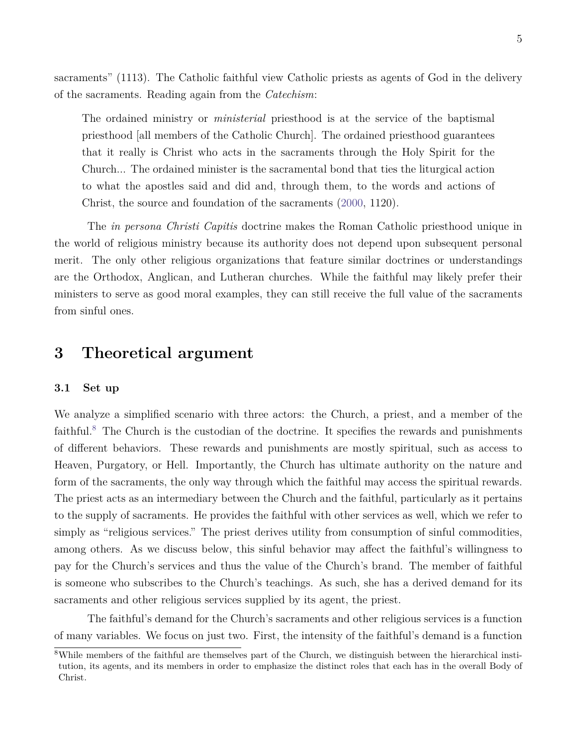sacraments" (1113). The Catholic faithful view Catholic priests as agents of God in the delivery of the sacraments. Reading again from the *Catechism*:

The ordained ministry or *ministerial* priesthood is at the service of the baptismal priesthood [all members of the Catholic Church]. The ordained priesthood guarantees that it really is Christ who acts in the sacraments through the Holy Spirit for the Church... The ordained minister is the sacramental bond that ties the liturgical action to what the apostles said and did and, through them, to the words and actions of Christ, the source and foundation of the sacraments [\(2000,](#page-26-7) 1120).

The *in persona Christi Capitis* doctrine makes the Roman Catholic priesthood unique in the world of religious ministry because its authority does not depend upon subsequent personal merit. The only other religious organizations that feature similar doctrines or understandings are the Orthodox, Anglican, and Lutheran churches. While the faithful may likely prefer their ministers to serve as good moral examples, they can still receive the full value of the sacraments from sinful ones.

### **3 Theoretical argument**

### **3.1 Set up**

We analyze a simplified scenario with three actors: the Church, a priest, and a member of the faithful.<sup>[8](#page-5-0)</sup> The Church is the custodian of the doctrine. It specifies the rewards and punishments of different behaviors. These rewards and punishments are mostly spiritual, such as access to Heaven, Purgatory, or Hell. Importantly, the Church has ultimate authority on the nature and form of the sacraments, the only way through which the faithful may access the spiritual rewards. The priest acts as an intermediary between the Church and the faithful, particularly as it pertains to the supply of sacraments. He provides the faithful with other services as well, which we refer to simply as "religious services." The priest derives utility from consumption of sinful commodities, among others. As we discuss below, this sinful behavior may affect the faithful's willingness to pay for the Church's services and thus the value of the Church's brand. The member of faithful is someone who subscribes to the Church's teachings. As such, she has a derived demand for its sacraments and other religious services supplied by its agent, the priest.

The faithful's demand for the Church's sacraments and other religious services is a function of many variables. We focus on just two. First, the intensity of the faithful's demand is a function

<span id="page-5-0"></span><sup>8</sup>While members of the faithful are themselves part of the Church, we distinguish between the hierarchical institution, its agents, and its members in order to emphasize the distinct roles that each has in the overall Body of Christ.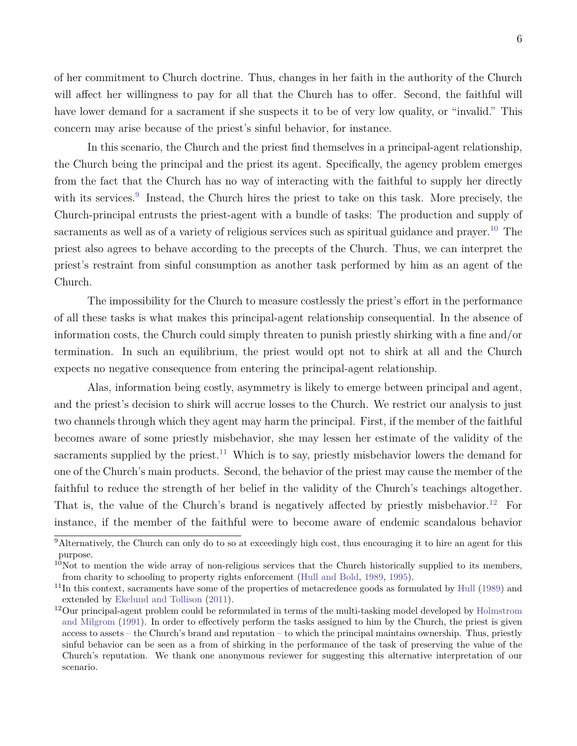of her commitment to Church doctrine. Thus, changes in her faith in the authority of the Church will affect her willingness to pay for all that the Church has to offer. Second, the faithful will have lower demand for a sacrament if she suspects it to be of very low quality, or "invalid." This

In this scenario, the Church and the priest find themselves in a principal-agent relationship, the Church being the principal and the priest its agent. Specifically, the agency problem emerges from the fact that the Church has no way of interacting with the faithful to supply her directly with its services.<sup>[9](#page-6-0)</sup> Instead, the Church hires the priest to take on this task. More precisely, the Church-principal entrusts the priest-agent with a bundle of tasks: The production and supply of sacraments as well as of a variety of religious services such as spiritual guidance and prayer.<sup>[10](#page-6-1)</sup> The priest also agrees to behave according to the precepts of the Church. Thus, we can interpret the priest's restraint from sinful consumption as another task performed by him as an agent of the Church.

concern may arise because of the priest's sinful behavior, for instance.

The impossibility for the Church to measure costlessly the priest's effort in the performance of all these tasks is what makes this principal-agent relationship consequential. In the absence of information costs, the Church could simply threaten to punish priestly shirking with a fine and/or termination. In such an equilibrium, the priest would opt not to shirk at all and the Church expects no negative consequence from entering the principal-agent relationship.

Alas, information being costly, asymmetry is likely to emerge between principal and agent, and the priest's decision to shirk will accrue losses to the Church. We restrict our analysis to just two channels through which they agent may harm the principal. First, if the member of the faithful becomes aware of some priestly misbehavior, she may lessen her estimate of the validity of the sacraments supplied by the priest.<sup>[11](#page-6-2)</sup> Which is to say, priestly misbehavior lowers the demand for one of the Church's main products. Second, the behavior of the priest may cause the member of the faithful to reduce the strength of her belief in the validity of the Church's teachings altogether. That is, the value of the Church's brand is negatively affected by priestly misbehavior.<sup>[12](#page-6-3)</sup> For instance, if the member of the faithful were to become aware of endemic scandalous behavior

<span id="page-6-0"></span> $\overline{9}$ Alternatively, the Church can only do to so at exceedingly high cost, thus encouraging it to hire an agent for this purpose.

<span id="page-6-1"></span> $10N$ ot to mention the wide array of non-religious services that the Church historically supplied to its members, from charity to schooling to property rights enforcement [\(Hull and Bold,](#page-28-2) [1989,](#page-28-2) [1995\)](#page-28-8).

<span id="page-6-2"></span> $11$ In this context, sacraments have some of the properties of metacredence goods as formulated by [Hull](#page-27-4) [\(1989\)](#page-27-4) and extended by [Ekelund and Tollison](#page-27-3) [\(2011\)](#page-27-3).

<span id="page-6-3"></span><sup>&</sup>lt;sup>12</sup>Our principal-agent problem could be reformulated in terms of the multi-tasking model developed by [Holmstrom](#page-27-5) [and Milgrom](#page-27-5) [\(1991\)](#page-27-5). In order to effectively perform the tasks assigned to him by the Church, the priest is given access to assets – the Church's brand and reputation – to which the principal maintains ownership. Thus, priestly sinful behavior can be seen as a from of shirking in the performance of the task of preserving the value of the Church's reputation. We thank one anonymous reviewer for suggesting this alternative interpretation of our scenario.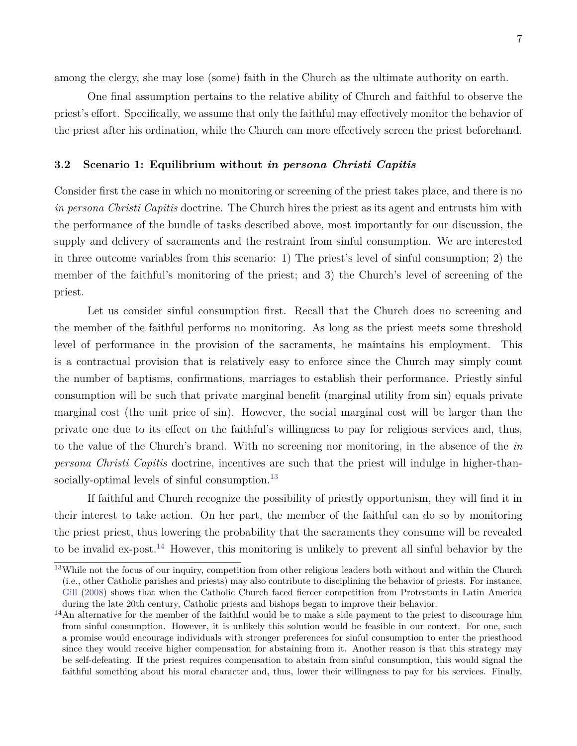among the clergy, she may lose (some) faith in the Church as the ultimate authority on earth.

One final assumption pertains to the relative ability of Church and faithful to observe the priest's effort. Specifically, we assume that only the faithful may effectively monitor the behavior of the priest after his ordination, while the Church can more effectively screen the priest beforehand.

#### **3.2 Scenario 1: Equilibrium without** *in persona Christi Capitis*

Consider first the case in which no monitoring or screening of the priest takes place, and there is no *in persona Christi Capitis* doctrine. The Church hires the priest as its agent and entrusts him with the performance of the bundle of tasks described above, most importantly for our discussion, the supply and delivery of sacraments and the restraint from sinful consumption. We are interested in three outcome variables from this scenario: 1) The priest's level of sinful consumption; 2) the member of the faithful's monitoring of the priest; and 3) the Church's level of screening of the priest.

Let us consider sinful consumption first. Recall that the Church does no screening and the member of the faithful performs no monitoring. As long as the priest meets some threshold level of performance in the provision of the sacraments, he maintains his employment. This is a contractual provision that is relatively easy to enforce since the Church may simply count the number of baptisms, confirmations, marriages to establish their performance. Priestly sinful consumption will be such that private marginal benefit (marginal utility from sin) equals private marginal cost (the unit price of sin). However, the social marginal cost will be larger than the private one due to its effect on the faithful's willingness to pay for religious services and, thus, to the value of the Church's brand. With no screening nor monitoring, in the absence of the *in persona Christi Capitis* doctrine, incentives are such that the priest will indulge in higher-than-socially-optimal levels of sinful consumption.<sup>[13](#page-7-0)</sup>

If faithful and Church recognize the possibility of priestly opportunism, they will find it in their interest to take action. On her part, the member of the faithful can do so by monitoring the priest priest, thus lowering the probability that the sacraments they consume will be revealed to be invalid ex-post.[14](#page-7-1) However, this monitoring is unlikely to prevent all sinful behavior by the

<span id="page-7-0"></span><sup>&</sup>lt;sup>13</sup>While not the focus of our inquiry, competition from other religious leaders both without and within the Church (i.e., other Catholic parishes and priests) may also contribute to disciplining the behavior of priests. For instance, [Gill](#page-27-6) [\(2008\)](#page-27-6) shows that when the Catholic Church faced fiercer competition from Protestants in Latin America during the late 20th century, Catholic priests and bishops began to improve their behavior.

<span id="page-7-1"></span> $14$ An alternative for the member of the faithful would be to make a side payment to the priest to discourage him from sinful consumption. However, it is unlikely this solution would be feasible in our context. For one, such a promise would encourage individuals with stronger preferences for sinful consumption to enter the priesthood since they would receive higher compensation for abstaining from it. Another reason is that this strategy may be self-defeating. If the priest requires compensation to abstain from sinful consumption, this would signal the faithful something about his moral character and, thus, lower their willingness to pay for his services. Finally,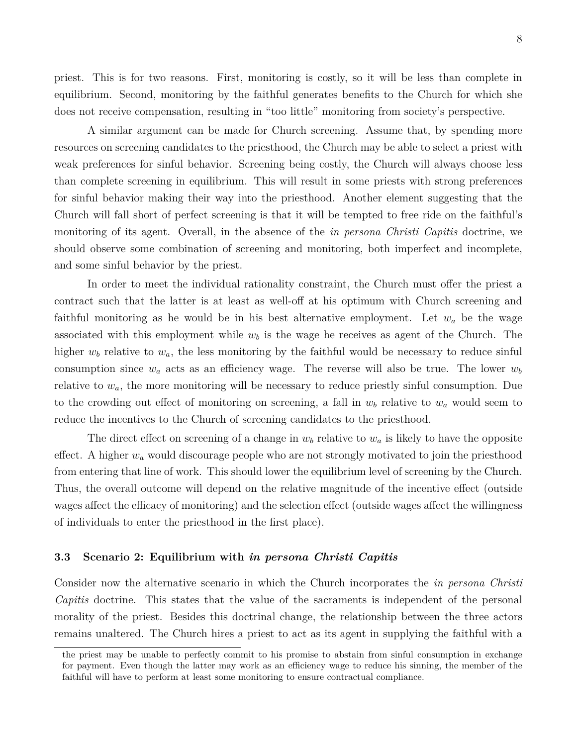priest. This is for two reasons. First, monitoring is costly, so it will be less than complete in equilibrium. Second, monitoring by the faithful generates benefits to the Church for which she does not receive compensation, resulting in "too little" monitoring from society's perspective.

A similar argument can be made for Church screening. Assume that, by spending more resources on screening candidates to the priesthood, the Church may be able to select a priest with weak preferences for sinful behavior. Screening being costly, the Church will always choose less than complete screening in equilibrium. This will result in some priests with strong preferences for sinful behavior making their way into the priesthood. Another element suggesting that the Church will fall short of perfect screening is that it will be tempted to free ride on the faithful's monitoring of its agent. Overall, in the absence of the *in persona Christi Capitis* doctrine, we should observe some combination of screening and monitoring, both imperfect and incomplete, and some sinful behavior by the priest.

In order to meet the individual rationality constraint, the Church must offer the priest a contract such that the latter is at least as well-off at his optimum with Church screening and faithful monitoring as he would be in his best alternative employment. Let  $w_a$  be the wage associated with this employment while  $w<sub>b</sub>$  is the wage he receives as agent of the Church. The higher  $w_b$  relative to  $w_a$ , the less monitoring by the faithful would be necessary to reduce sinful consumption since  $w_a$  acts as an efficiency wage. The reverse will also be true. The lower  $w_b$ relative to *wa*, the more monitoring will be necessary to reduce priestly sinful consumption. Due to the crowding out effect of monitoring on screening, a fall in  $w<sub>b</sub>$  relative to  $w<sub>a</sub>$  would seem to reduce the incentives to the Church of screening candidates to the priesthood.

The direct effect on screening of a change in  $w<sub>b</sub>$  relative to  $w<sub>a</sub>$  is likely to have the opposite effect. A higher *w<sup>a</sup>* would discourage people who are not strongly motivated to join the priesthood from entering that line of work. This should lower the equilibrium level of screening by the Church. Thus, the overall outcome will depend on the relative magnitude of the incentive effect (outside wages affect the efficacy of monitoring) and the selection effect (outside wages affect the willingness of individuals to enter the priesthood in the first place).

#### **3.3 Scenario 2: Equilibrium with** *in persona Christi Capitis*

Consider now the alternative scenario in which the Church incorporates the *in persona Christi Capitis* doctrine. This states that the value of the sacraments is independent of the personal morality of the priest. Besides this doctrinal change, the relationship between the three actors remains unaltered. The Church hires a priest to act as its agent in supplying the faithful with a

the priest may be unable to perfectly commit to his promise to abstain from sinful consumption in exchange for payment. Even though the latter may work as an efficiency wage to reduce his sinning, the member of the faithful will have to perform at least some monitoring to ensure contractual compliance.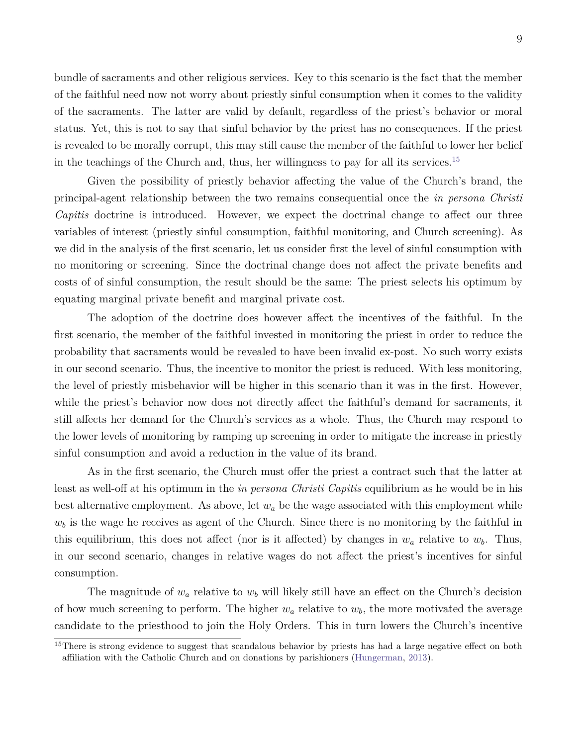bundle of sacraments and other religious services. Key to this scenario is the fact that the member of the faithful need now not worry about priestly sinful consumption when it comes to the validity of the sacraments. The latter are valid by default, regardless of the priest's behavior or moral status. Yet, this is not to say that sinful behavior by the priest has no consequences. If the priest is revealed to be morally corrupt, this may still cause the member of the faithful to lower her belief in the teachings of the Church and, thus, her willingness to pay for all its services.<sup>[15](#page-9-0)</sup>

Given the possibility of priestly behavior affecting the value of the Church's brand, the principal-agent relationship between the two remains consequential once the *in persona Christi Capitis* doctrine is introduced. However, we expect the doctrinal change to affect our three variables of interest (priestly sinful consumption, faithful monitoring, and Church screening). As we did in the analysis of the first scenario, let us consider first the level of sinful consumption with no monitoring or screening. Since the doctrinal change does not affect the private benefits and costs of of sinful consumption, the result should be the same: The priest selects his optimum by equating marginal private benefit and marginal private cost.

The adoption of the doctrine does however affect the incentives of the faithful. In the first scenario, the member of the faithful invested in monitoring the priest in order to reduce the probability that sacraments would be revealed to have been invalid ex-post. No such worry exists in our second scenario. Thus, the incentive to monitor the priest is reduced. With less monitoring, the level of priestly misbehavior will be higher in this scenario than it was in the first. However, while the priest's behavior now does not directly affect the faithful's demand for sacraments, it still affects her demand for the Church's services as a whole. Thus, the Church may respond to the lower levels of monitoring by ramping up screening in order to mitigate the increase in priestly sinful consumption and avoid a reduction in the value of its brand.

As in the first scenario, the Church must offer the priest a contract such that the latter at least as well-off at his optimum in the *in persona Christi Capitis* equilibrium as he would be in his best alternative employment. As above, let *w<sup>a</sup>* be the wage associated with this employment while  $w<sub>b</sub>$  is the wage he receives as agent of the Church. Since there is no monitoring by the faithful in this equilibrium, this does not affect (nor is it affected) by changes in  $w_a$  relative to  $w_b$ . Thus, in our second scenario, changes in relative wages do not affect the priest's incentives for sinful consumption.

The magnitude of  $w_a$  relative to  $w_b$  will likely still have an effect on the Church's decision of how much screening to perform. The higher *w<sup>a</sup>* relative to *wb*, the more motivated the average candidate to the priesthood to join the Holy Orders. This in turn lowers the Church's incentive

<span id="page-9-0"></span><sup>&</sup>lt;sup>15</sup>There is strong evidence to suggest that scandalous behavior by priests has had a large negative effect on both affiliation with the Catholic Church and on donations by parishioners [\(Hungerman,](#page-28-9) [2013\)](#page-28-9).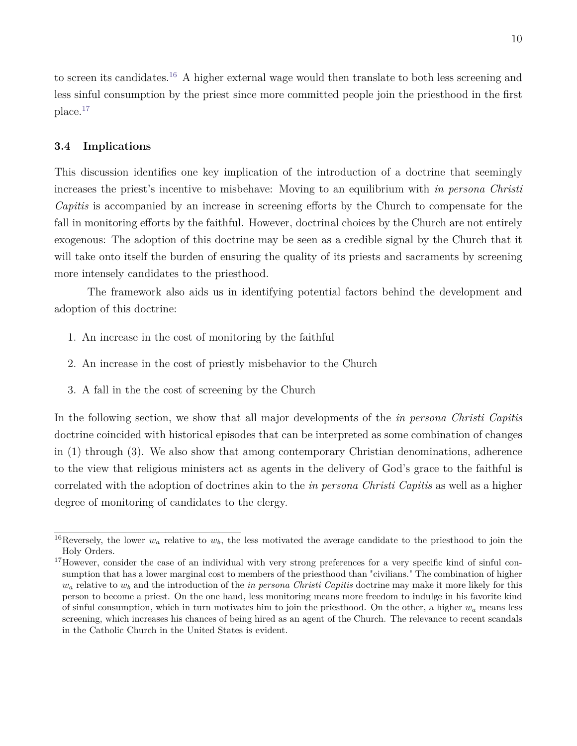to screen its candidates.[16](#page-10-0) A higher external wage would then translate to both less screening and less sinful consumption by the priest since more committed people join the priesthood in the first place.[17](#page-10-1)

### **3.4 Implications**

This discussion identifies one key implication of the introduction of a doctrine that seemingly increases the priest's incentive to misbehave: Moving to an equilibrium with *in persona Christi Capitis* is accompanied by an increase in screening efforts by the Church to compensate for the fall in monitoring efforts by the faithful. However, doctrinal choices by the Church are not entirely exogenous: The adoption of this doctrine may be seen as a credible signal by the Church that it will take onto itself the burden of ensuring the quality of its priests and sacraments by screening more intensely candidates to the priesthood.

The framework also aids us in identifying potential factors behind the development and adoption of this doctrine:

- 1. An increase in the cost of monitoring by the faithful
- 2. An increase in the cost of priestly misbehavior to the Church
- 3. A fall in the the cost of screening by the Church

In the following section, we show that all major developments of the *in persona Christi Capitis* doctrine coincided with historical episodes that can be interpreted as some combination of changes in (1) through (3). We also show that among contemporary Christian denominations, adherence to the view that religious ministers act as agents in the delivery of God's grace to the faithful is correlated with the adoption of doctrines akin to the *in persona Christi Capitis* as well as a higher degree of monitoring of candidates to the clergy.

<span id="page-10-0"></span><sup>&</sup>lt;sup>16</sup>Reversely, the lower  $w_a$  relative to  $w_b$ , the less motivated the average candidate to the priesthood to join the Holy Orders.

<span id="page-10-1"></span><sup>&</sup>lt;sup>17</sup>However, consider the case of an individual with very strong preferences for a very specific kind of sinful consumption that has a lower marginal cost to members of the priesthood than "civilians." The combination of higher  $w_a$  relative to  $w_b$  and the introduction of the *in persona Christi Capitis* doctrine may make it more likely for this person to become a priest. On the one hand, less monitoring means more freedom to indulge in his favorite kind of sinful consumption, which in turn motivates him to join the priesthood. On the other, a higher  $w_a$  means less screening, which increases his chances of being hired as an agent of the Church. The relevance to recent scandals in the Catholic Church in the United States is evident.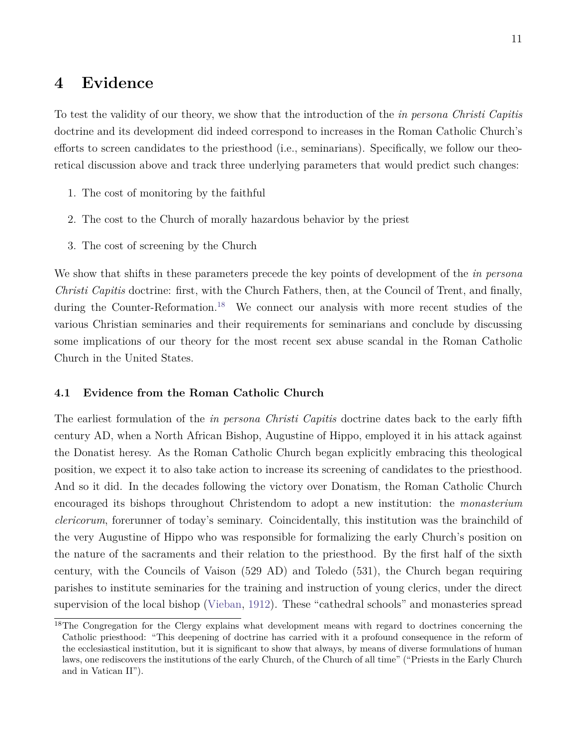### **4 Evidence**

To test the validity of our theory, we show that the introduction of the *in persona Christi Capitis* doctrine and its development did indeed correspond to increases in the Roman Catholic Church's efforts to screen candidates to the priesthood (i.e., seminarians). Specifically, we follow our theoretical discussion above and track three underlying parameters that would predict such changes:

- 1. The cost of monitoring by the faithful
- 2. The cost to the Church of morally hazardous behavior by the priest
- 3. The cost of screening by the Church

We show that shifts in these parameters precede the key points of development of the *in persona Christi Capitis* doctrine: first, with the Church Fathers, then, at the Council of Trent, and finally, during the Counter-Reformation.<sup>[18](#page-11-0)</sup> We connect our analysis with more recent studies of the various Christian seminaries and their requirements for seminarians and conclude by discussing some implications of our theory for the most recent sex abuse scandal in the Roman Catholic Church in the United States.

### **4.1 Evidence from the Roman Catholic Church**

The earliest formulation of the *in persona Christi Capitis* doctrine dates back to the early fifth century AD, when a North African Bishop, Augustine of Hippo, employed it in his attack against the Donatist heresy. As the Roman Catholic Church began explicitly embracing this theological position, we expect it to also take action to increase its screening of candidates to the priesthood. And so it did. In the decades following the victory over Donatism, the Roman Catholic Church encouraged its bishops throughout Christendom to adopt a new institution: the *monasterium clericorum*, forerunner of today's seminary. Coincidentally, this institution was the brainchild of the very Augustine of Hippo who was responsible for formalizing the early Church's position on the nature of the sacraments and their relation to the priesthood. By the first half of the sixth century, with the Councils of Vaison (529 AD) and Toledo (531), the Church began requiring parishes to institute seminaries for the training and instruction of young clerics, under the direct supervision of the local bishop [\(Vieban,](#page-29-4) [1912\)](#page-29-4). These "cathedral schools" and monasteries spread

<span id="page-11-0"></span><sup>&</sup>lt;sup>18</sup>The Congregation for the Clergy explains what development means with regard to doctrines concerning the Catholic priesthood: "This deepening of doctrine has carried with it a profound consequence in the reform of the ecclesiastical institution, but it is significant to show that always, by means of diverse formulations of human laws, one rediscovers the institutions of the early Church, of the Church of all time" ("Priests in the Early Church and in Vatican II").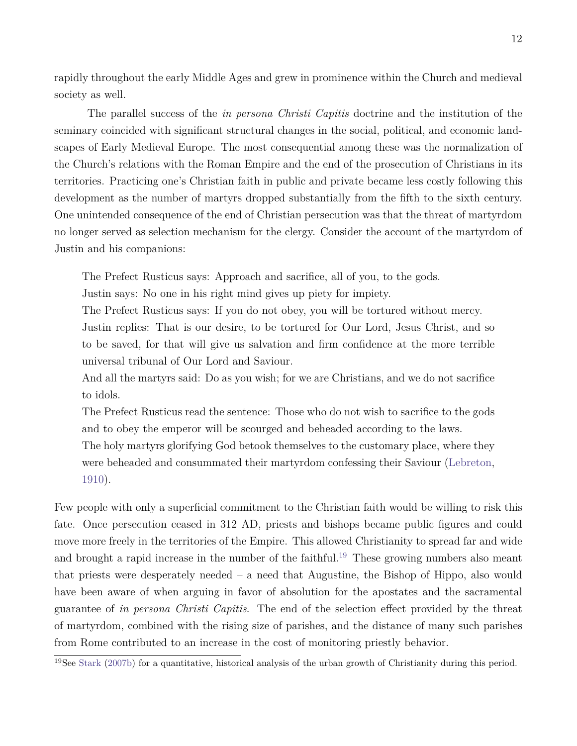rapidly throughout the early Middle Ages and grew in prominence within the Church and medieval society as well.

The parallel success of the *in persona Christi Capitis* doctrine and the institution of the seminary coincided with significant structural changes in the social, political, and economic landscapes of Early Medieval Europe. The most consequential among these was the normalization of the Church's relations with the Roman Empire and the end of the prosecution of Christians in its territories. Practicing one's Christian faith in public and private became less costly following this development as the number of martyrs dropped substantially from the fifth to the sixth century. One unintended consequence of the end of Christian persecution was that the threat of martyrdom no longer served as selection mechanism for the clergy. Consider the account of the martyrdom of Justin and his companions:

The Prefect Rusticus says: Approach and sacrifice, all of you, to the gods.

Justin says: No one in his right mind gives up piety for impiety.

The Prefect Rusticus says: If you do not obey, you will be tortured without mercy. Justin replies: That is our desire, to be tortured for Our Lord, Jesus Christ, and so to be saved, for that will give us salvation and firm confidence at the more terrible universal tribunal of Our Lord and Saviour.

And all the martyrs said: Do as you wish; for we are Christians, and we do not sacrifice to idols.

The Prefect Rusticus read the sentence: Those who do not wish to sacrifice to the gods and to obey the emperor will be scourged and beheaded according to the laws. The holy martyrs glorifying God betook themselves to the customary place, where they were beheaded and consummated their martyrdom confessing their Saviour [\(Lebreton,](#page-28-10) [1910\)](#page-28-10).

Few people with only a superficial commitment to the Christian faith would be willing to risk this fate. Once persecution ceased in 312 AD, priests and bishops became public figures and could move more freely in the territories of the Empire. This allowed Christianity to spread far and wide and brought a rapid increase in the number of the faithful.<sup>[19](#page-12-0)</sup> These growing numbers also meant that priests were desperately needed – a need that Augustine, the Bishop of Hippo, also would have been aware of when arguing in favor of absolution for the apostates and the sacramental guarantee of *in persona Christi Capitis*. The end of the selection effect provided by the threat of martyrdom, combined with the rising size of parishes, and the distance of many such parishes from Rome contributed to an increase in the cost of monitoring priestly behavior.

<span id="page-12-0"></span><sup>&</sup>lt;sup>19</sup>See [Stark](#page-29-5) [\(2007b\)](#page-29-5) for a quantitative, historical analysis of the urban growth of Christianity during this period.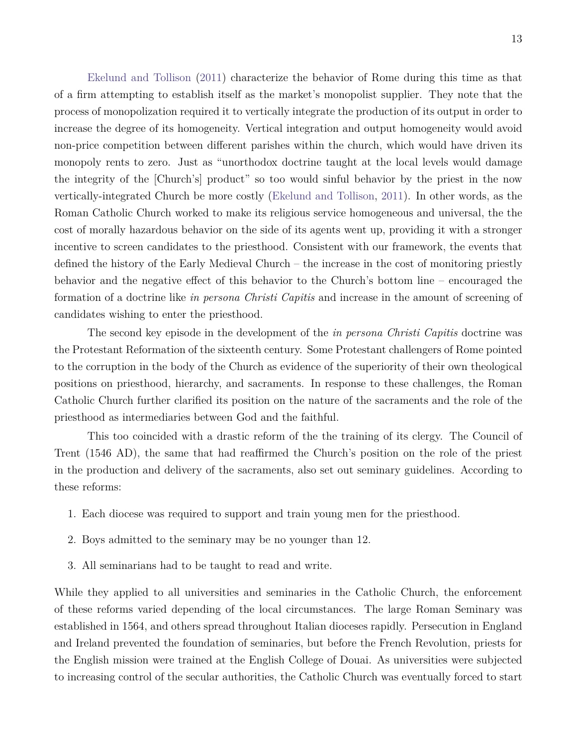[Ekelund and Tollison](#page-27-3) [\(2011\)](#page-27-3) characterize the behavior of Rome during this time as that of a firm attempting to establish itself as the market's monopolist supplier. They note that the process of monopolization required it to vertically integrate the production of its output in order to increase the degree of its homogeneity. Vertical integration and output homogeneity would avoid non-price competition between different parishes within the church, which would have driven its monopoly rents to zero. Just as "unorthodox doctrine taught at the local levels would damage the integrity of the [Church's] product" so too would sinful behavior by the priest in the now vertically-integrated Church be more costly [\(Ekelund and Tollison,](#page-27-3) [2011\)](#page-27-3). In other words, as the Roman Catholic Church worked to make its religious service homogeneous and universal, the the cost of morally hazardous behavior on the side of its agents went up, providing it with a stronger incentive to screen candidates to the priesthood. Consistent with our framework, the events that defined the history of the Early Medieval Church – the increase in the cost of monitoring priestly behavior and the negative effect of this behavior to the Church's bottom line – encouraged the formation of a doctrine like *in persona Christi Capitis* and increase in the amount of screening of candidates wishing to enter the priesthood.

The second key episode in the development of the *in persona Christi Capitis* doctrine was the Protestant Reformation of the sixteenth century. Some Protestant challengers of Rome pointed to the corruption in the body of the Church as evidence of the superiority of their own theological positions on priesthood, hierarchy, and sacraments. In response to these challenges, the Roman Catholic Church further clarified its position on the nature of the sacraments and the role of the priesthood as intermediaries between God and the faithful.

This too coincided with a drastic reform of the the training of its clergy. The Council of Trent (1546 AD), the same that had reaffirmed the Church's position on the role of the priest in the production and delivery of the sacraments, also set out seminary guidelines. According to these reforms:

- 1. Each diocese was required to support and train young men for the priesthood.
- 2. Boys admitted to the seminary may be no younger than 12.
- 3. All seminarians had to be taught to read and write.

While they applied to all universities and seminaries in the Catholic Church, the enforcement of these reforms varied depending of the local circumstances. The large Roman Seminary was established in 1564, and others spread throughout Italian dioceses rapidly. Persecution in England and Ireland prevented the foundation of seminaries, but before the French Revolution, priests for the English mission were trained at the English College of Douai. As universities were subjected to increasing control of the secular authorities, the Catholic Church was eventually forced to start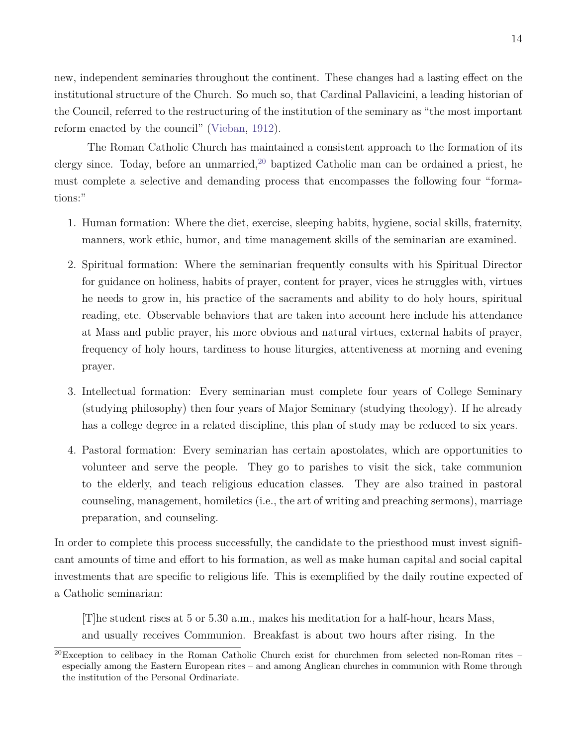new, independent seminaries throughout the continent. These changes had a lasting effect on the institutional structure of the Church. So much so, that Cardinal Pallavicini, a leading historian of the Council, referred to the restructuring of the institution of the seminary as "the most important reform enacted by the council" [\(Vieban,](#page-29-4) [1912\)](#page-29-4).

The Roman Catholic Church has maintained a consistent approach to the formation of its clergy since. Today, before an unmarried,  $20$  baptized Catholic man can be ordained a priest, he must complete a selective and demanding process that encompasses the following four "formations:"

- 1. Human formation: Where the diet, exercise, sleeping habits, hygiene, social skills, fraternity, manners, work ethic, humor, and time management skills of the seminarian are examined.
- 2. Spiritual formation: Where the seminarian frequently consults with his Spiritual Director for guidance on holiness, habits of prayer, content for prayer, vices he struggles with, virtues he needs to grow in, his practice of the sacraments and ability to do holy hours, spiritual reading, etc. Observable behaviors that are taken into account here include his attendance at Mass and public prayer, his more obvious and natural virtues, external habits of prayer, frequency of holy hours, tardiness to house liturgies, attentiveness at morning and evening prayer.
- 3. Intellectual formation: Every seminarian must complete four years of College Seminary (studying philosophy) then four years of Major Seminary (studying theology). If he already has a college degree in a related discipline, this plan of study may be reduced to six years.
- 4. Pastoral formation: Every seminarian has certain apostolates, which are opportunities to volunteer and serve the people. They go to parishes to visit the sick, take communion to the elderly, and teach religious education classes. They are also trained in pastoral counseling, management, homiletics (i.e., the art of writing and preaching sermons), marriage preparation, and counseling.

In order to complete this process successfully, the candidate to the priesthood must invest significant amounts of time and effort to his formation, as well as make human capital and social capital investments that are specific to religious life. This is exemplified by the daily routine expected of a Catholic seminarian:

[T]he student rises at 5 or 5.30 a.m., makes his meditation for a half-hour, hears Mass, and usually receives Communion. Breakfast is about two hours after rising. In the

<span id="page-14-0"></span> $^{20}$ Exception to celibacy in the Roman Catholic Church exist for churchmen from selected non-Roman rites – especially among the Eastern European rites – and among Anglican churches in communion with Rome through the institution of the Personal Ordinariate.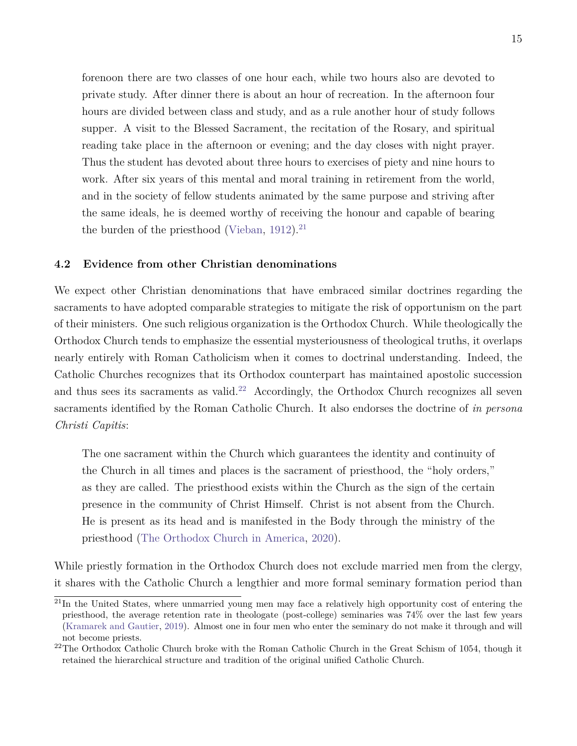forenoon there are two classes of one hour each, while two hours also are devoted to private study. After dinner there is about an hour of recreation. In the afternoon four hours are divided between class and study, and as a rule another hour of study follows supper. A visit to the Blessed Sacrament, the recitation of the Rosary, and spiritual reading take place in the afternoon or evening; and the day closes with night prayer. Thus the student has devoted about three hours to exercises of piety and nine hours to work. After six years of this mental and moral training in retirement from the world, and in the society of fellow students animated by the same purpose and striving after the same ideals, he is deemed worthy of receiving the honour and capable of bearing the burden of the priesthood [\(Vieban,](#page-29-4) [1912\)](#page-29-4).<sup>[21](#page-15-0)</sup>

### **4.2 Evidence from other Christian denominations**

We expect other Christian denominations that have embraced similar doctrines regarding the sacraments to have adopted comparable strategies to mitigate the risk of opportunism on the part of their ministers. One such religious organization is the Orthodox Church. While theologically the Orthodox Church tends to emphasize the essential mysteriousness of theological truths, it overlaps nearly entirely with Roman Catholicism when it comes to doctrinal understanding. Indeed, the Catholic Churches recognizes that its Orthodox counterpart has maintained apostolic succession and thus sees its sacraments as valid.<sup>[22](#page-15-1)</sup> Accordingly, the Orthodox Church recognizes all seven sacraments identified by the Roman Catholic Church. It also endorses the doctrine of *in persona Christi Capitis*:

The one sacrament within the Church which guarantees the identity and continuity of the Church in all times and places is the sacrament of priesthood, the "holy orders," as they are called. The priesthood exists within the Church as the sign of the certain presence in the community of Christ Himself. Christ is not absent from the Church. He is present as its head and is manifested in the Body through the ministry of the priesthood [\(The Orthodox Church in America,](#page-29-6) [2020\)](#page-29-6).

While priestly formation in the Orthodox Church does not exclude married men from the clergy, it shares with the Catholic Church a lengthier and more formal seminary formation period than

<span id="page-15-0"></span> $^{21}$ In the United States, where unmarried young men may face a relatively high opportunity cost of entering the priesthood, the average retention rate in theologate (post-college) seminaries was 74% over the last few years [\(Kramarek and Gautier,](#page-28-11) [2019\)](#page-28-11). Almost one in four men who enter the seminary do not make it through and will not become priests.

<span id="page-15-1"></span><sup>&</sup>lt;sup>22</sup>The Orthodox Catholic Church broke with the Roman Catholic Church in the Great Schism of 1054, though it retained the hierarchical structure and tradition of the original unified Catholic Church.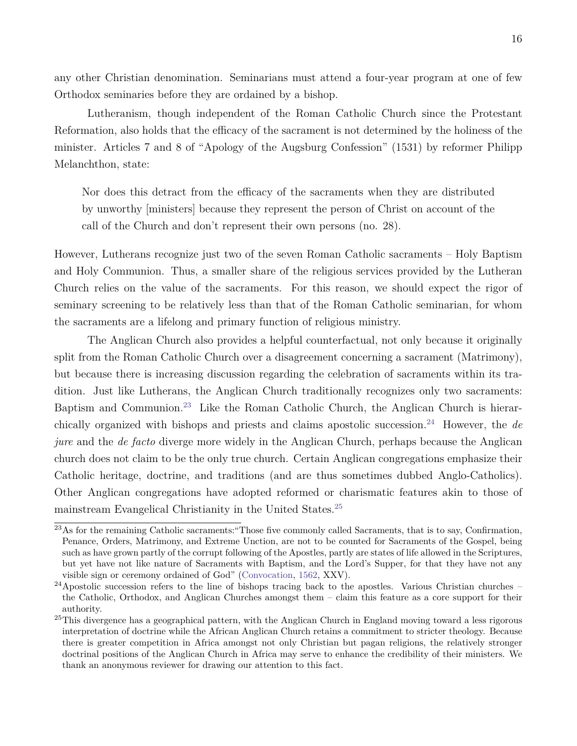any other Christian denomination. Seminarians must attend a four-year program at one of few Orthodox seminaries before they are ordained by a bishop.

Lutheranism, though independent of the Roman Catholic Church since the Protestant Reformation, also holds that the efficacy of the sacrament is not determined by the holiness of the minister. Articles 7 and 8 of "Apology of the Augsburg Confession" (1531) by reformer Philipp Melanchthon, state:

Nor does this detract from the efficacy of the sacraments when they are distributed by unworthy [ministers] because they represent the person of Christ on account of the call of the Church and don't represent their own persons (no. 28).

However, Lutherans recognize just two of the seven Roman Catholic sacraments – Holy Baptism and Holy Communion. Thus, a smaller share of the religious services provided by the Lutheran Church relies on the value of the sacraments. For this reason, we should expect the rigor of seminary screening to be relatively less than that of the Roman Catholic seminarian, for whom the sacraments are a lifelong and primary function of religious ministry.

The Anglican Church also provides a helpful counterfactual, not only because it originally split from the Roman Catholic Church over a disagreement concerning a sacrament (Matrimony), but because there is increasing discussion regarding the celebration of sacraments within its tradition. Just like Lutherans, the Anglican Church traditionally recognizes only two sacraments: Baptism and Communion.[23](#page-16-0) Like the Roman Catholic Church, the Anglican Church is hierarchically organized with bishops and priests and claims apostolic succession.[24](#page-16-1) However, the *de jure* and the *de facto* diverge more widely in the Anglican Church, perhaps because the Anglican church does not claim to be the only true church. Certain Anglican congregations emphasize their Catholic heritage, doctrine, and traditions (and are thus sometimes dubbed Anglo-Catholics). Other Anglican congregations have adopted reformed or charismatic features akin to those of mainstream Evangelical Christianity in the United States.[25](#page-16-2)

<span id="page-16-0"></span><sup>&</sup>lt;sup>23</sup>As for the remaining Catholic sacraments: "Those five commonly called Sacraments, that is to say, Confirmation, Penance, Orders, Matrimony, and Extreme Unction, are not to be counted for Sacraments of the Gospel, being such as have grown partly of the corrupt following of the Apostles, partly are states of life allowed in the Scriptures, but yet have not like nature of Sacraments with Baptism, and the Lord's Supper, for that they have not any visible sign or ceremony ordained of God" [\(Convocation,](#page-26-8) [1562,](#page-26-8) XXV).

<span id="page-16-1"></span><sup>&</sup>lt;sup>24</sup>Apostolic succession refers to the line of bishops tracing back to the apostles. Various Christian churches – the Catholic, Orthodox, and Anglican Churches amongst them – claim this feature as a core support for their authority.

<span id="page-16-2"></span><sup>&</sup>lt;sup>25</sup>This divergence has a geographical pattern, with the Anglican Church in England moving toward a less rigorous interpretation of doctrine while the African Anglican Church retains a commitment to stricter theology. Because there is greater competition in Africa amongst not only Christian but pagan religions, the relatively stronger doctrinal positions of the Anglican Church in Africa may serve to enhance the credibility of their ministers. We thank an anonymous reviewer for drawing our attention to this fact.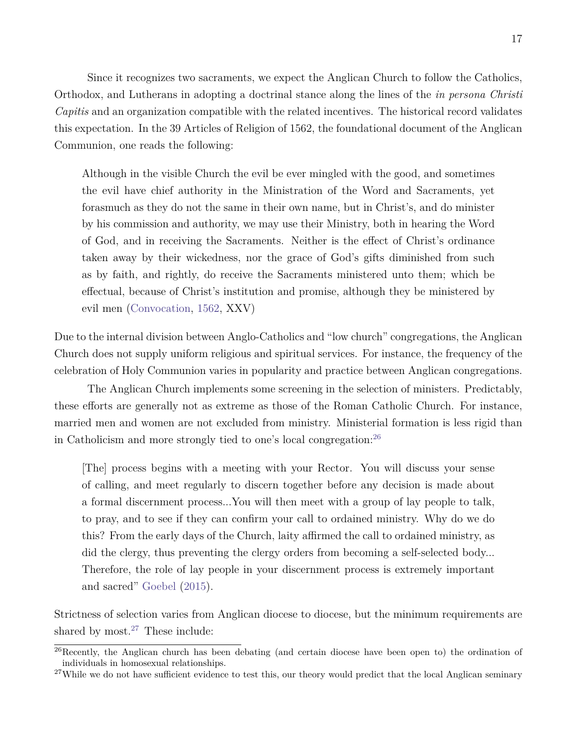Since it recognizes two sacraments, we expect the Anglican Church to follow the Catholics, Orthodox, and Lutherans in adopting a doctrinal stance along the lines of the *in persona Christi Capitis* and an organization compatible with the related incentives. The historical record validates this expectation. In the 39 Articles of Religion of 1562, the foundational document of the Anglican Communion, one reads the following:

Although in the visible Church the evil be ever mingled with the good, and sometimes the evil have chief authority in the Ministration of the Word and Sacraments, yet forasmuch as they do not the same in their own name, but in Christ's, and do minister by his commission and authority, we may use their Ministry, both in hearing the Word of God, and in receiving the Sacraments. Neither is the effect of Christ's ordinance taken away by their wickedness, nor the grace of God's gifts diminished from such as by faith, and rightly, do receive the Sacraments ministered unto them; which be effectual, because of Christ's institution and promise, although they be ministered by evil men [\(Convocation,](#page-26-8) [1562,](#page-26-8) XXV)

Due to the internal division between Anglo-Catholics and "low church" congregations, the Anglican Church does not supply uniform religious and spiritual services. For instance, the frequency of the celebration of Holy Communion varies in popularity and practice between Anglican congregations.

The Anglican Church implements some screening in the selection of ministers. Predictably, these efforts are generally not as extreme as those of the Roman Catholic Church. For instance, married men and women are not excluded from ministry. Ministerial formation is less rigid than in Catholicism and more strongly tied to one's local congregation:[26](#page-17-0)

[The] process begins with a meeting with your Rector. You will discuss your sense of calling, and meet regularly to discern together before any decision is made about a formal discernment process...You will then meet with a group of lay people to talk, to pray, and to see if they can confirm your call to ordained ministry. Why do we do this? From the early days of the Church, laity affirmed the call to ordained ministry, as did the clergy, thus preventing the clergy orders from becoming a self-selected body... Therefore, the role of lay people in your discernment process is extremely important and sacred" [Goebel](#page-27-7) [\(2015\)](#page-27-7).

Strictness of selection varies from Anglican diocese to diocese, but the minimum requirements are shared by most. $27$  These include:

<span id="page-17-0"></span> $^{26}$ Recently, the Anglican church has been debating (and certain diocese have been open to) the ordination of individuals in homosexual relationships.

<span id="page-17-1"></span><sup>&</sup>lt;sup>27</sup>While we do not have sufficient evidence to test this, our theory would predict that the local Anglican seminary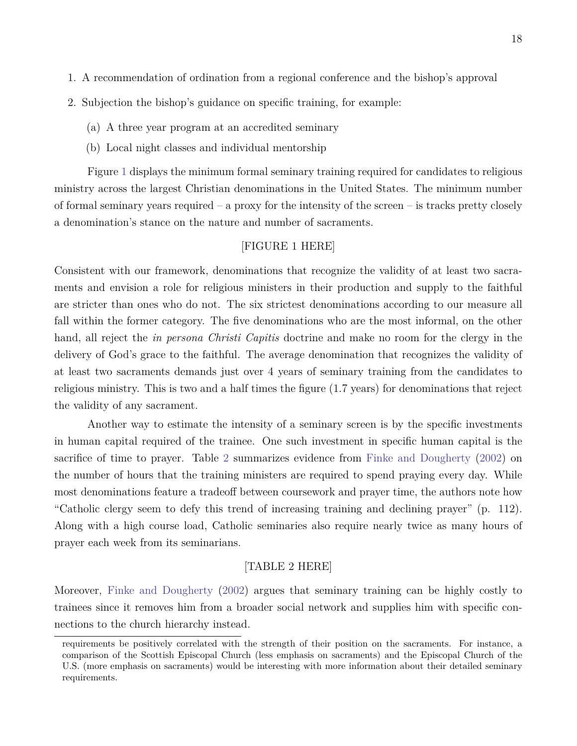- 1. A recommendation of ordination from a regional conference and the bishop's approval
- 2. Subjection the bishop's guidance on specific training, for example:
	- (a) A three year program at an accredited seminary
	- (b) Local night classes and individual mentorship

Figure [1](#page-25-0) displays the minimum formal seminary training required for candidates to religious ministry across the largest Christian denominations in the United States. The minimum number of formal seminary years required – a proxy for the intensity of the screen – is tracks pretty closely a denomination's stance on the nature and number of sacraments.

### [FIGURE 1 HERE]

Consistent with our framework, denominations that recognize the validity of at least two sacraments and envision a role for religious ministers in their production and supply to the faithful are stricter than ones who do not. The six strictest denominations according to our measure all fall within the former category. The five denominations who are the most informal, on the other hand, all reject the *in persona Christi Capitis* doctrine and make no room for the clergy in the delivery of God's grace to the faithful. The average denomination that recognizes the validity of at least two sacraments demands just over 4 years of seminary training from the candidates to religious ministry. This is two and a half times the figure (1.7 years) for denominations that reject the validity of any sacrament.

Another way to estimate the intensity of a seminary screen is by the specific investments in human capital required of the trainee. One such investment in specific human capital is the sacrifice of time to prayer. Table [2](#page-25-1) summarizes evidence from [Finke and Dougherty](#page-27-8) [\(2002\)](#page-27-8) on the number of hours that the training ministers are required to spend praying every day. While most denominations feature a tradeoff between coursework and prayer time, the authors note how "Catholic clergy seem to defy this trend of increasing training and declining prayer" (p. 112). Along with a high course load, Catholic seminaries also require nearly twice as many hours of prayer each week from its seminarians.

### [TABLE 2 HERE]

Moreover, [Finke and Dougherty](#page-27-8) [\(2002\)](#page-27-8) argues that seminary training can be highly costly to trainees since it removes him from a broader social network and supplies him with specific connections to the church hierarchy instead.

requirements be positively correlated with the strength of their position on the sacraments. For instance, a comparison of the Scottish Episcopal Church (less emphasis on sacraments) and the Episcopal Church of the U.S. (more emphasis on sacraments) would be interesting with more information about their detailed seminary requirements.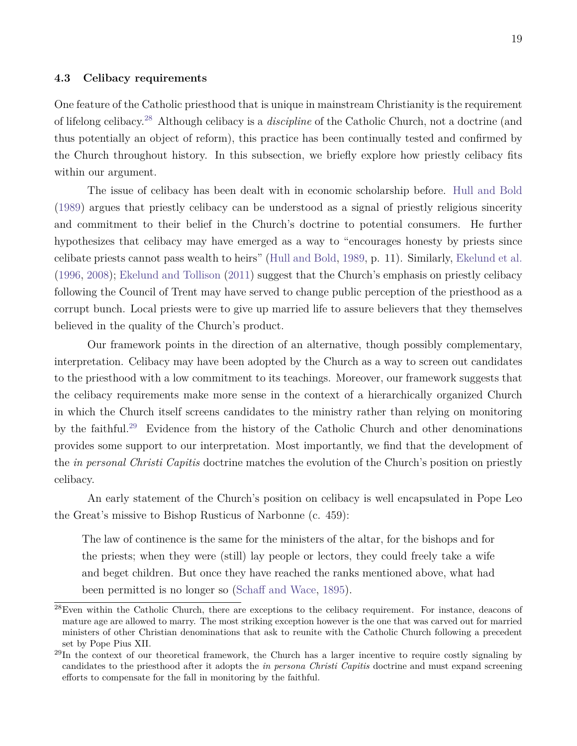#### **4.3 Celibacy requirements**

One feature of the Catholic priesthood that is unique in mainstream Christianity is the requirement of lifelong celibacy.[28](#page-19-0) Although celibacy is a *discipline* of the Catholic Church, not a doctrine (and thus potentially an object of reform), this practice has been continually tested and confirmed by the Church throughout history. In this subsection, we briefly explore how priestly celibacy fits within our argument.

The issue of celibacy has been dealt with in economic scholarship before. [Hull and Bold](#page-28-2) [\(1989\)](#page-28-2) argues that priestly celibacy can be understood as a signal of priestly religious sincerity and commitment to their belief in the Church's doctrine to potential consumers. He further hypothesizes that celibacy may have emerged as a way to "encourages honesty by priests since celibate priests cannot pass wealth to heirs" [\(Hull and Bold,](#page-28-2) [1989,](#page-28-2) p. 11). Similarly, [Ekelund et al.](#page-27-9) [\(1996,](#page-27-9) [2008\)](#page-27-10); [Ekelund and Tollison](#page-27-3) [\(2011\)](#page-27-3) suggest that the Church's emphasis on priestly celibacy following the Council of Trent may have served to change public perception of the priesthood as a corrupt bunch. Local priests were to give up married life to assure believers that they themselves believed in the quality of the Church's product.

Our framework points in the direction of an alternative, though possibly complementary, interpretation. Celibacy may have been adopted by the Church as a way to screen out candidates to the priesthood with a low commitment to its teachings. Moreover, our framework suggests that the celibacy requirements make more sense in the context of a hierarchically organized Church in which the Church itself screens candidates to the ministry rather than relying on monitoring by the faithful.[29](#page-19-1) Evidence from the history of the Catholic Church and other denominations provides some support to our interpretation. Most importantly, we find that the development of the *in personal Christi Capitis* doctrine matches the evolution of the Church's position on priestly celibacy.

An early statement of the Church's position on celibacy is well encapsulated in Pope Leo the Great's missive to Bishop Rusticus of Narbonne (c. 459):

The law of continence is the same for the ministers of the altar, for the bishops and for the priests; when they were (still) lay people or lectors, they could freely take a wife and beget children. But once they have reached the ranks mentioned above, what had been permitted is no longer so [\(Schaff and Wace,](#page-29-7) [1895\)](#page-29-7).

<span id="page-19-0"></span><sup>28</sup>Even within the Catholic Church, there are exceptions to the celibacy requirement. For instance, deacons of mature age are allowed to marry. The most striking exception however is the one that was carved out for married ministers of other Christian denominations that ask to reunite with the Catholic Church following a precedent set by Pope Pius XII.

<span id="page-19-1"></span> $^{29}$ In the context of our theoretical framework, the Church has a larger incentive to require costly signaling by candidates to the priesthood after it adopts the *in persona Christi Capitis* doctrine and must expand screening efforts to compensate for the fall in monitoring by the faithful.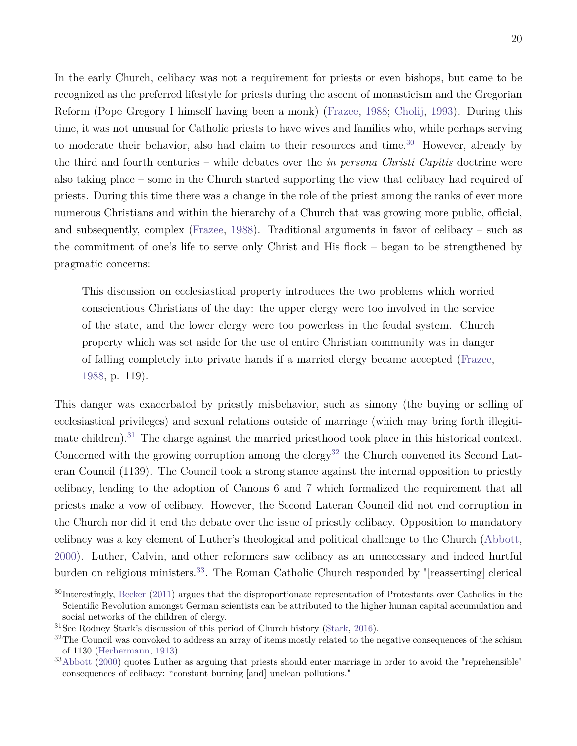In the early Church, celibacy was not a requirement for priests or even bishops, but came to be recognized as the preferred lifestyle for priests during the ascent of monasticism and the Gregorian Reform (Pope Gregory I himself having been a monk) [\(Frazee,](#page-27-11) [1988;](#page-27-11) [Cholij,](#page-26-9) [1993\)](#page-26-9). During this time, it was not unusual for Catholic priests to have wives and families who, while perhaps serving to moderate their behavior, also had claim to their resources and time.<sup>[30](#page-20-0)</sup> However, already by the third and fourth centuries – while debates over the *in persona Christi Capitis* doctrine were also taking place – some in the Church started supporting the view that celibacy had required of priests. During this time there was a change in the role of the priest among the ranks of ever more numerous Christians and within the hierarchy of a Church that was growing more public, official, and subsequently, complex [\(Frazee,](#page-27-11) [1988\)](#page-27-11). Traditional arguments in favor of celibacy – such as the commitment of one's life to serve only Christ and His flock – began to be strengthened by pragmatic concerns:

This discussion on ecclesiastical property introduces the two problems which worried conscientious Christians of the day: the upper clergy were too involved in the service of the state, and the lower clergy were too powerless in the feudal system. Church property which was set aside for the use of entire Christian community was in danger of falling completely into private hands if a married clergy became accepted [\(Frazee,](#page-27-11) [1988,](#page-27-11) p. 119).

This danger was exacerbated by priestly misbehavior, such as simony (the buying or selling of ecclesiastical privileges) and sexual relations outside of marriage (which may bring forth illegiti-mate children).<sup>[31](#page-20-1)</sup> The charge against the married priesthood took place in this historical context. Concerned with the growing corruption among the clergy<sup>[32](#page-20-2)</sup> the Church convened its Second Lateran Council (1139). The Council took a strong stance against the internal opposition to priestly celibacy, leading to the adoption of Canons 6 and 7 which formalized the requirement that all priests make a vow of celibacy. However, the Second Lateran Council did not end corruption in the Church nor did it end the debate over the issue of priestly celibacy. Opposition to mandatory celibacy was a key element of Luther's theological and political challenge to the Church [\(Abbott,](#page-26-10) [2000\)](#page-26-10). Luther, Calvin, and other reformers saw celibacy as an unnecessary and indeed hurtful burden on religious ministers.<sup>[33](#page-20-3)</sup>. The Roman Catholic Church responded by "[reasserting] clerical

<span id="page-20-0"></span><sup>30</sup>Interestingly, [Becker](#page-26-11) [\(2011\)](#page-26-11) argues that the disproportionate representation of Protestants over Catholics in the Scientific Revolution amongst German scientists can be attributed to the higher human capital accumulation and social networks of the children of clergy.

<span id="page-20-1"></span><sup>31</sup>See Rodney Stark's discussion of this period of Church history [\(Stark,](#page-29-8) [2016\)](#page-29-8).

<span id="page-20-2"></span> $32$ The Council was convoked to address an array of items mostly related to the negative consequences of the schism of 1130 [\(Herbermann,](#page-27-12) [1913\)](#page-27-12).

<span id="page-20-3"></span> $33$ [Abbott](#page-26-10) [\(2000\)](#page-26-10) quotes Luther as arguing that priests should enter marriage in order to avoid the "reprehensible" consequences of celibacy: "constant burning [and] unclean pollutions."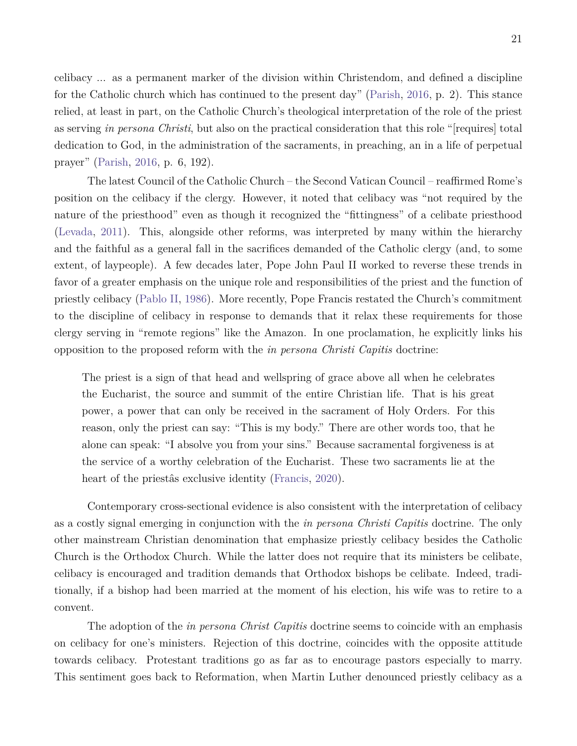celibacy ... as a permanent marker of the division within Christendom, and defined a discipline for the Catholic church which has continued to the present day" [\(Parish,](#page-28-12) [2016,](#page-28-12) p. 2). This stance relied, at least in part, on the Catholic Church's theological interpretation of the role of the priest as serving *in persona Christi*, but also on the practical consideration that this role "[requires] total dedication to God, in the administration of the sacraments, in preaching, an in a life of perpetual prayer" [\(Parish,](#page-28-12) [2016,](#page-28-12) p. 6, 192).

The latest Council of the Catholic Church – the Second Vatican Council – reaffirmed Rome's position on the celibacy if the clergy. However, it noted that celibacy was "not required by the nature of the priesthood" even as though it recognized the "fittingness" of a celibate priesthood [\(Levada,](#page-28-13) [2011\)](#page-28-13). This, alongside other reforms, was interpreted by many within the hierarchy and the faithful as a general fall in the sacrifices demanded of the Catholic clergy (and, to some extent, of laypeople). A few decades later, Pope John Paul II worked to reverse these trends in favor of a greater emphasis on the unique role and responsibilities of the priest and the function of priestly celibacy [\(Pablo II,](#page-28-14) [1986\)](#page-28-14). More recently, Pope Francis restated the Church's commitment to the discipline of celibacy in response to demands that it relax these requirements for those clergy serving in "remote regions" like the Amazon. In one proclamation, he explicitly links his opposition to the proposed reform with the *in persona Christi Capitis* doctrine:

The priest is a sign of that head and wellspring of grace above all when he celebrates the Eucharist, the source and summit of the entire Christian life. That is his great power, a power that can only be received in the sacrament of Holy Orders. For this reason, only the priest can say: "This is my body." There are other words too, that he alone can speak: "I absolve you from your sins." Because sacramental forgiveness is at the service of a worthy celebration of the Eucharist. These two sacraments lie at the heart of the priestâs exclusive identity [\(Francis,](#page-27-13) [2020\)](#page-27-13).

Contemporary cross-sectional evidence is also consistent with the interpretation of celibacy as a costly signal emerging in conjunction with the *in persona Christi Capitis* doctrine. The only other mainstream Christian denomination that emphasize priestly celibacy besides the Catholic Church is the Orthodox Church. While the latter does not require that its ministers be celibate, celibacy is encouraged and tradition demands that Orthodox bishops be celibate. Indeed, traditionally, if a bishop had been married at the moment of his election, his wife was to retire to a convent.

The adoption of the *in persona Christ Capitis* doctrine seems to coincide with an emphasis on celibacy for one's ministers. Rejection of this doctrine, coincides with the opposite attitude towards celibacy. Protestant traditions go as far as to encourage pastors especially to marry. This sentiment goes back to Reformation, when Martin Luther denounced priestly celibacy as a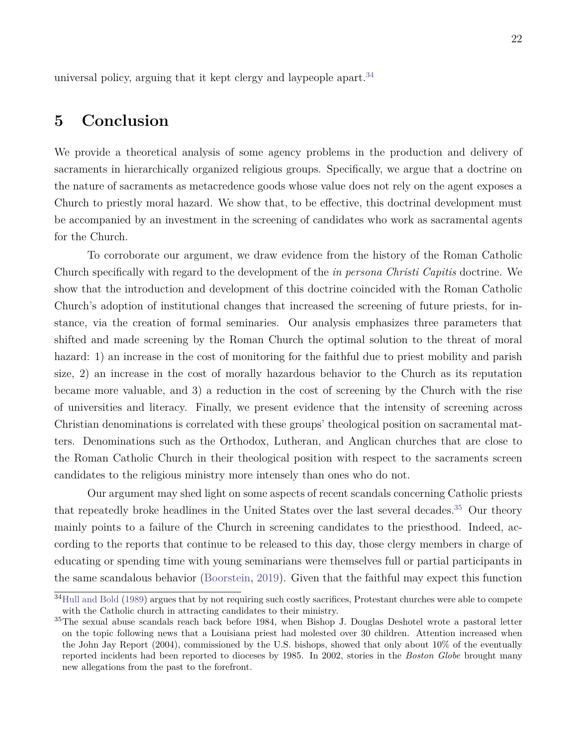universal policy, arguing that it kept clergy and laypeople apart.<sup>[34](#page-22-0)</sup>

## **5 Conclusion**

We provide a theoretical analysis of some agency problems in the production and delivery of sacraments in hierarchically organized religious groups. Specifically, we argue that a doctrine on the nature of sacraments as metacredence goods whose value does not rely on the agent exposes a Church to priestly moral hazard. We show that, to be effective, this doctrinal development must be accompanied by an investment in the screening of candidates who work as sacramental agents for the Church.

To corroborate our argument, we draw evidence from the history of the Roman Catholic Church specifically with regard to the development of the *in persona Christi Capitis* doctrine. We show that the introduction and development of this doctrine coincided with the Roman Catholic Church's adoption of institutional changes that increased the screening of future priests, for instance, via the creation of formal seminaries. Our analysis emphasizes three parameters that shifted and made screening by the Roman Church the optimal solution to the threat of moral hazard: 1) an increase in the cost of monitoring for the faithful due to priest mobility and parish size, 2) an increase in the cost of morally hazardous behavior to the Church as its reputation became more valuable, and 3) a reduction in the cost of screening by the Church with the rise of universities and literacy. Finally, we present evidence that the intensity of screening across Christian denominations is correlated with these groups' theological position on sacramental matters. Denominations such as the Orthodox, Lutheran, and Anglican churches that are close to the Roman Catholic Church in their theological position with respect to the sacraments screen candidates to the religious ministry more intensely than ones who do not.

Our argument may shed light on some aspects of recent scandals concerning Catholic priests that repeatedly broke headlines in the United States over the last several decades.<sup>[35](#page-22-1)</sup> Our theory mainly points to a failure of the Church in screening candidates to the priesthood. Indeed, according to the reports that continue to be released to this day, those clergy members in charge of educating or spending time with young seminarians were themselves full or partial participants in the same scandalous behavior [\(Boorstein,](#page-26-12) [2019\)](#page-26-12). Given that the faithful may expect this function

<span id="page-22-0"></span><sup>&</sup>lt;sup>34</sup>[Hull and Bold](#page-28-2) [\(1989\)](#page-28-2) argues that by not requiring such costly sacrifices, Protestant churches were able to compete with the Catholic church in attracting candidates to their ministry.

<span id="page-22-1"></span><sup>&</sup>lt;sup>35</sup>The sexual abuse scandals reach back before 1984, when Bishop J. Douglas Deshotel wrote a pastoral letter on the topic following news that a Louisiana priest had molested over 30 children. Attention increased when the John Jay Report (2004), commissioned by the U.S. bishops, showed that only about 10% of the eventually reported incidents had been reported to dioceses by 1985. In 2002, stories in the *Boston Globe* brought many new allegations from the past to the forefront.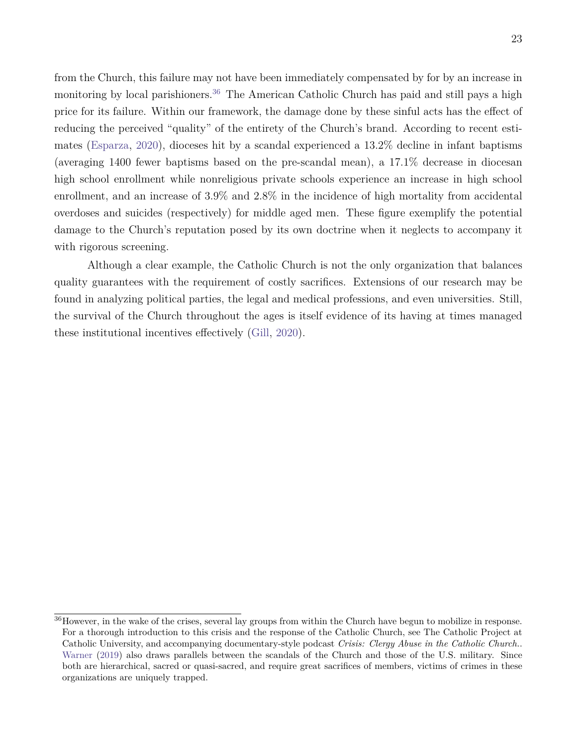from the Church, this failure may not have been immediately compensated by for by an increase in monitoring by local parishioners.<sup>[36](#page-23-0)</sup> The American Catholic Church has paid and still pays a high price for its failure. Within our framework, the damage done by these sinful acts has the effect of reducing the perceived "quality" of the entirety of the Church's brand. According to recent estimates [\(Esparza,](#page-27-14) [2020\)](#page-27-14), dioceses hit by a scandal experienced a 13.2% decline in infant baptisms (averaging 1400 fewer baptisms based on the pre-scandal mean), a 17.1% decrease in diocesan high school enrollment while nonreligious private schools experience an increase in high school enrollment, and an increase of 3.9% and 2.8% in the incidence of high mortality from accidental overdoses and suicides (respectively) for middle aged men. These figure exemplify the potential damage to the Church's reputation posed by its own doctrine when it neglects to accompany it with rigorous screening.

Although a clear example, the Catholic Church is not the only organization that balances quality guarantees with the requirement of costly sacrifices. Extensions of our research may be found in analyzing political parties, the legal and medical professions, and even universities. Still, the survival of the Church throughout the ages is itself evidence of its having at times managed these institutional incentives effectively [\(Gill,](#page-27-1) [2020\)](#page-27-1).

<span id="page-23-0"></span><sup>36</sup>However, in the wake of the crises, several lay groups from within the Church have begun to mobilize in response. For a thorough introduction to this crisis and the response of the Catholic Church, see The Catholic Project at Catholic University, and accompanying documentary-style podcast *Crisis: Clergy Abuse in the Catholic Church.*. [Warner](#page-29-9) [\(2019\)](#page-29-9) also draws parallels between the scandals of the Church and those of the U.S. military. Since both are hierarchical, sacred or quasi-sacred, and require great sacrifices of members, victims of crimes in these organizations are uniquely trapped.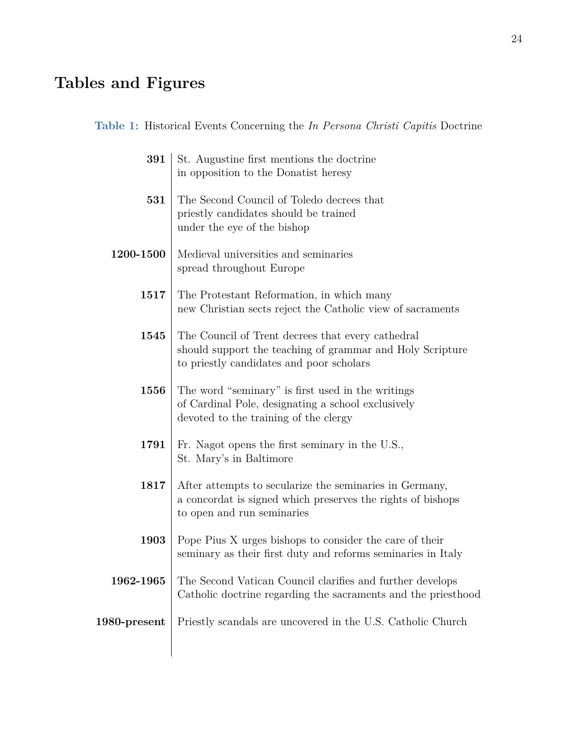# **Tables and Figures**

<span id="page-24-0"></span>

| Table 1: Historical Events Concerning the In Persona Christi Capitis Doctrine |  |
|-------------------------------------------------------------------------------|--|
|-------------------------------------------------------------------------------|--|

| 391          | St. Augustine first mentions the doctrine<br>in opposition to the Donatist heresy                                                                          |
|--------------|------------------------------------------------------------------------------------------------------------------------------------------------------------|
| 531          | The Second Council of Toledo decrees that<br>priestly candidates should be trained<br>under the eye of the bishop                                          |
| 1200-1500    | Medieval universities and seminaries<br>spread throughout Europe                                                                                           |
| 1517         | The Protestant Reformation, in which many<br>new Christian sects reject the Catholic view of sacraments                                                    |
| 1545         | The Council of Trent decrees that every cathedral<br>should support the teaching of grammar and Holy Scripture<br>to priestly candidates and poor scholars |
| 1556         | The word "seminary" is first used in the writings<br>of Cardinal Pole, designating a school exclusively<br>devoted to the training of the clergy           |
| 1791         | Fr. Nagot opens the first seminary in the U.S.,<br>St. Mary's in Baltimore                                                                                 |
| 1817         | After attempts to secularize the seminaries in Germany,<br>a concordat is signed which preserves the rights of bishops<br>to open and run seminaries       |
| 1903         | Pope Pius X urges bishops to consider the care of their<br>seminary as their first duty and reforms seminaries in Italy                                    |
| 1962-1965    | The Second Vatican Council clarifies and further develops<br>Catholic doctrine regarding the sacraments and the priesthood                                 |
| 1980-present | Priestly scandals are uncovered in the U.S. Catholic Church                                                                                                |
|              |                                                                                                                                                            |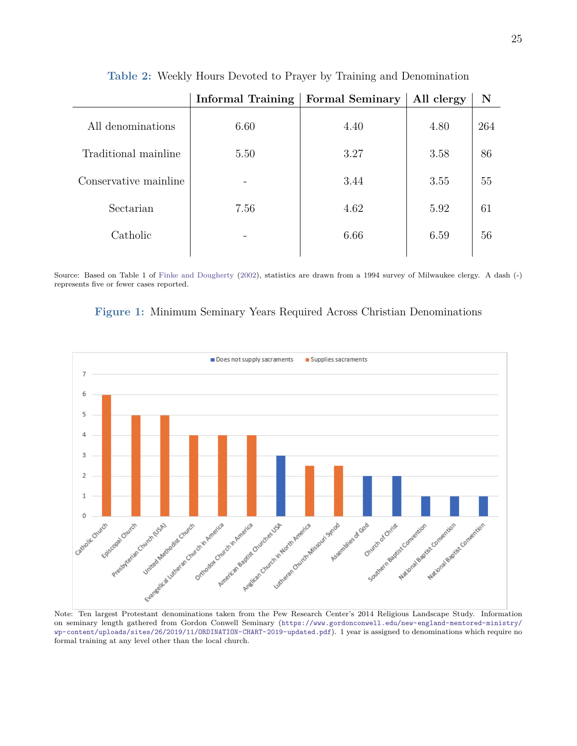<span id="page-25-1"></span>

|                       | <b>Informal Training</b> | <b>Formal Seminary</b> | All clergy | N   |
|-----------------------|--------------------------|------------------------|------------|-----|
| All denominations     | 6.60                     | 4.40                   | 4.80       | 264 |
| Traditional mainline  | 5.50                     | 3.27                   | 3.58       | 86  |
| Conservative mainline |                          | 3.44                   | 3.55       | 55  |
| Sectarian             | 7.56                     | 4.62                   | 5.92       | 61  |
| Catholic              |                          | 6.66                   | 6.59       | 56  |
|                       |                          |                        |            |     |

**Table 2:** Weekly Hours Devoted to Prayer by Training and Denomination

Source: Based on Table 1 of [Finke and Dougherty](#page-27-8) [\(2002\)](#page-27-8), statistics are drawn from a 1994 survey of Milwaukee clergy. A dash (-) represents five or fewer cases reported.

<span id="page-25-0"></span>



Note: Ten largest Protestant denominations taken from the Pew Research Center's 2014 Religious Landscape Study. Information on seminary length gathered from Gordon Conwell Seminary ([https://www.gordonconwell.edu/new-england-mentored-ministry/](https://www.gordonconwell.edu/new-england-mentored-ministry/wp-content/uploads/sites/26/2019/11/ORDINATION-CHART-2019-updated.pdf) [wp-content/uploads/sites/26/2019/11/ORDINATION-CHART-2019-updated.pdf](https://www.gordonconwell.edu/new-england-mentored-ministry/wp-content/uploads/sites/26/2019/11/ORDINATION-CHART-2019-updated.pdf)). 1 year is assigned to denominations which require no formal training at any level other than the local church.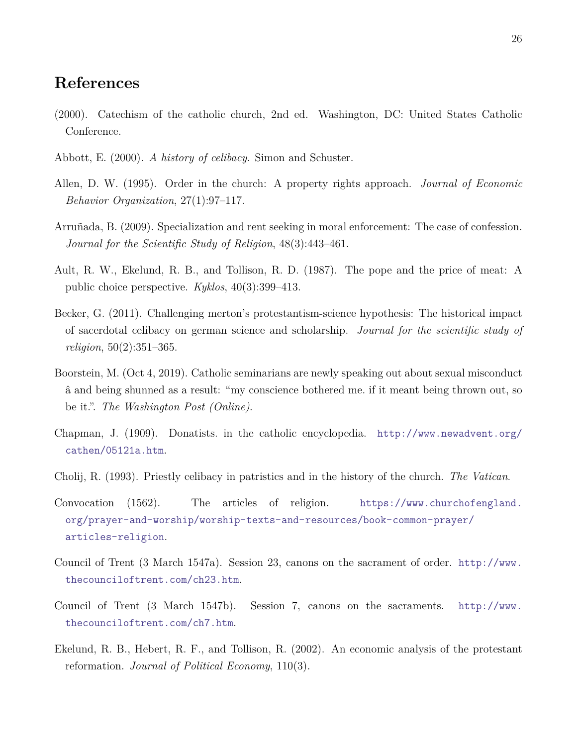### **References**

- <span id="page-26-7"></span>(2000). Catechism of the catholic church, 2nd ed. Washington, DC: United States Catholic Conference.
- <span id="page-26-10"></span>Abbott, E. (2000). *A history of celibacy*. Simon and Schuster.
- <span id="page-26-0"></span>Allen, D. W. (1995). Order in the church: A property rights approach. *Journal of Economic Behavior Organization*, 27(1):97–117.
- <span id="page-26-2"></span>Arruñada, B. (2009). Specialization and rent seeking in moral enforcement: The case of confession. *Journal for the Scientific Study of Religion*, 48(3):443–461.
- <span id="page-26-3"></span>Ault, R. W., Ekelund, R. B., and Tollison, R. D. (1987). The pope and the price of meat: A public choice perspective. *Kyklos*, 40(3):399–413.
- <span id="page-26-11"></span>Becker, G. (2011). Challenging merton's protestantism-science hypothesis: The historical impact of sacerdotal celibacy on german science and scholarship. *Journal for the scientific study of religion*, 50(2):351–365.
- <span id="page-26-12"></span>Boorstein, M. (Oct 4, 2019). Catholic seminarians are newly speaking out about sexual misconduct â and being shunned as a result: "my conscience bothered me. if it meant being thrown out, so be it.". *The Washington Post (Online)*.
- <span id="page-26-4"></span>Chapman, J. (1909). Donatists. in the catholic encyclopedia. [http://www.newadvent.org/](http://www.newadvent.org/cathen/05121a.htm) [cathen/05121a.htm](http://www.newadvent.org/cathen/05121a.htm).
- <span id="page-26-9"></span>Cholij, R. (1993). Priestly celibacy in patristics and in the history of the church. *The Vatican*.
- <span id="page-26-8"></span>Convocation (1562). The articles of religion. [https://www.churchofengland.](https://www.churchofengland.org/prayer-and-worship/worship-texts-and-resources/book-common-prayer/articles-religion) [org/prayer-and-worship/worship-texts-and-resources/book-common-prayer/](https://www.churchofengland.org/prayer-and-worship/worship-texts-and-resources/book-common-prayer/articles-religion) [articles-religion](https://www.churchofengland.org/prayer-and-worship/worship-texts-and-resources/book-common-prayer/articles-religion).
- <span id="page-26-6"></span>Council of Trent (3 March 1547a). Session 23, canons on the sacrament of order. [http://www.](http://www.thecounciloftrent.com/ch23.htm) [thecounciloftrent.com/ch23.htm](http://www.thecounciloftrent.com/ch23.htm).
- <span id="page-26-5"></span>Council of Trent (3 March 1547b). Session 7, canons on the sacraments. [http://www.](http://www.thecounciloftrent.com/ch7.htm) [thecounciloftrent.com/ch7.htm](http://www.thecounciloftrent.com/ch7.htm).
- <span id="page-26-1"></span>Ekelund, R. B., Hebert, R. F., and Tollison, R. (2002). An economic analysis of the protestant reformation. *Journal of Political Economy*, 110(3).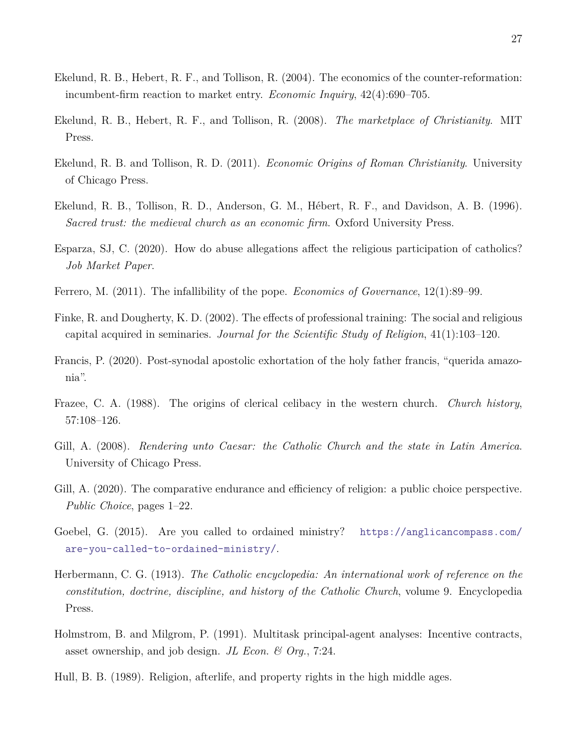- <span id="page-27-2"></span>Ekelund, R. B., Hebert, R. F., and Tollison, R. (2004). The economics of the counter-reformation: incumbent-firm reaction to market entry. *Economic Inquiry*, 42(4):690–705.
- <span id="page-27-10"></span>Ekelund, R. B., Hebert, R. F., and Tollison, R. (2008). *The marketplace of Christianity*. MIT Press.
- <span id="page-27-3"></span>Ekelund, R. B. and Tollison, R. D. (2011). *Economic Origins of Roman Christianity*. University of Chicago Press.
- <span id="page-27-9"></span>Ekelund, R. B., Tollison, R. D., Anderson, G. M., Hébert, R. F., and Davidson, A. B. (1996). *Sacred trust: the medieval church as an economic firm*. Oxford University Press.
- <span id="page-27-14"></span>Esparza, SJ, C. (2020). How do abuse allegations affect the religious participation of catholics? *Job Market Paper*.
- <span id="page-27-0"></span>Ferrero, M. (2011). The infallibility of the pope. *Economics of Governance*, 12(1):89–99.
- <span id="page-27-8"></span>Finke, R. and Dougherty, K. D. (2002). The effects of professional training: The social and religious capital acquired in seminaries. *Journal for the Scientific Study of Religion*, 41(1):103–120.
- <span id="page-27-13"></span>Francis, P. (2020). Post-synodal apostolic exhortation of the holy father francis, "querida amazonia".
- <span id="page-27-11"></span>Frazee, C. A. (1988). The origins of clerical celibacy in the western church. *Church history*, 57:108–126.
- <span id="page-27-6"></span>Gill, A. (2008). *Rendering unto Caesar: the Catholic Church and the state in Latin America*. University of Chicago Press.
- <span id="page-27-1"></span>Gill, A. (2020). The comparative endurance and efficiency of religion: a public choice perspective. *Public Choice*, pages 1–22.
- <span id="page-27-7"></span>Goebel, G. (2015). Are you called to ordained ministry? [https://anglicancompass.com/](https://anglicancompass.com/are-you-called-to-ordained-ministry/) [are-you-called-to-ordained-ministry/](https://anglicancompass.com/are-you-called-to-ordained-ministry/).
- <span id="page-27-12"></span>Herbermann, C. G. (1913). *The Catholic encyclopedia: An international work of reference on the constitution, doctrine, discipline, and history of the Catholic Church*, volume 9. Encyclopedia Press.
- <span id="page-27-5"></span>Holmstrom, B. and Milgrom, P. (1991). Multitask principal-agent analyses: Incentive contracts, asset ownership, and job design. *JL Econ. & Org.*, 7:24.
- <span id="page-27-4"></span>Hull, B. B. (1989). Religion, afterlife, and property rights in the high middle ages.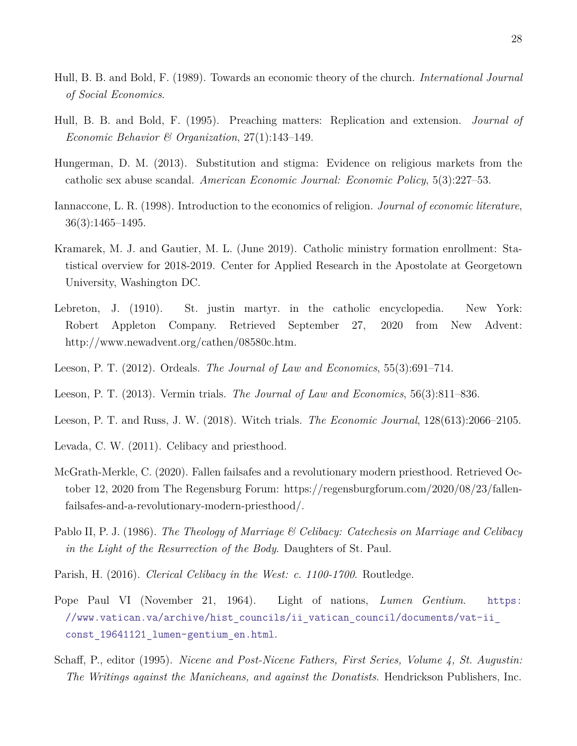- <span id="page-28-2"></span>Hull, B. B. and Bold, F. (1989). Towards an economic theory of the church. *International Journal of Social Economics*.
- <span id="page-28-8"></span>Hull, B. B. and Bold, F. (1995). Preaching matters: Replication and extension. *Journal of Economic Behavior & Organization*, 27(1):143–149.
- <span id="page-28-9"></span>Hungerman, D. M. (2013). Substitution and stigma: Evidence on religious markets from the catholic sex abuse scandal. *American Economic Journal: Economic Policy*, 5(3):227–53.
- <span id="page-28-1"></span>Iannaccone, L. R. (1998). Introduction to the economics of religion. *Journal of economic literature*, 36(3):1465–1495.
- <span id="page-28-11"></span>Kramarek, M. J. and Gautier, M. L. (June 2019). Catholic ministry formation enrollment: Statistical overview for 2018-2019. Center for Applied Research in the Apostolate at Georgetown University, Washington DC.
- <span id="page-28-10"></span>Lebreton, J. (1910). St. justin martyr. in the catholic encyclopedia. New York: Robert Appleton Company. Retrieved September 27, 2020 from New Advent: http://www.newadvent.org/cathen/08580c.htm.
- <span id="page-28-3"></span>Leeson, P. T. (2012). Ordeals. *The Journal of Law and Economics*, 55(3):691–714.
- <span id="page-28-4"></span>Leeson, P. T. (2013). Vermin trials. *The Journal of Law and Economics*, 56(3):811–836.
- <span id="page-28-5"></span>Leeson, P. T. and Russ, J. W. (2018). Witch trials. *The Economic Journal*, 128(613):2066–2105.
- <span id="page-28-13"></span>Levada, C. W. (2011). Celibacy and priesthood.
- <span id="page-28-0"></span>McGrath-Merkle, C. (2020). Fallen failsafes and a revolutionary modern priesthood. Retrieved October 12, 2020 from The Regensburg Forum: https://regensburgforum.com/2020/08/23/fallenfailsafes-and-a-revolutionary-modern-priesthood/.
- <span id="page-28-14"></span>Pablo II, P. J. (1986). *The Theology of Marriage & Celibacy: Catechesis on Marriage and Celibacy in the Light of the Resurrection of the Body*. Daughters of St. Paul.
- <span id="page-28-12"></span>Parish, H. (2016). *Clerical Celibacy in the West: c. 1100-1700*. Routledge.
- <span id="page-28-7"></span>Pope Paul VI (November 21, 1964). Light of nations, *Lumen Gentium*. [https:](https://www.vatican.va/archive/hist_councils/ii_vatican_council/documents/vat-ii_const_19641121_lumen-gentium_en.html) [//www.vatican.va/archive/hist\\_councils/ii\\_vatican\\_council/documents/vat-ii\\_](https://www.vatican.va/archive/hist_councils/ii_vatican_council/documents/vat-ii_const_19641121_lumen-gentium_en.html) [const\\_19641121\\_lumen-gentium\\_en.html](https://www.vatican.va/archive/hist_councils/ii_vatican_council/documents/vat-ii_const_19641121_lumen-gentium_en.html).
- <span id="page-28-6"></span>Schaff, P., editor (1995). *Nicene and Post-Nicene Fathers, First Series, Volume 4, St. Augustin: The Writings against the Manicheans, and against the Donatists*. Hendrickson Publishers, Inc.